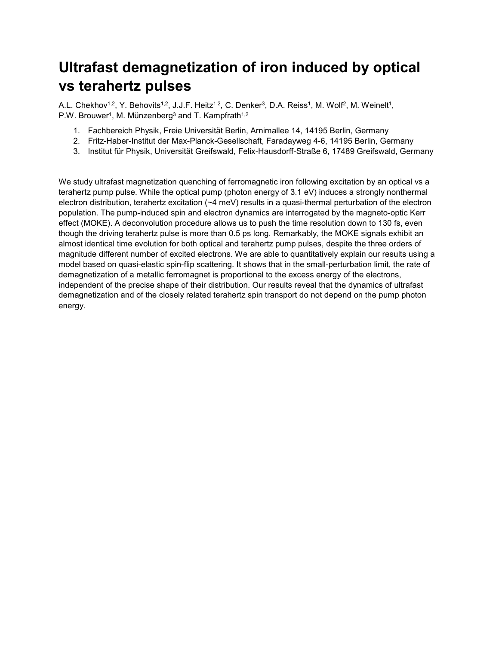# **Ultrafast demagnetization of iron induced by optical vs terahertz pulses**

A.L. Chekhov<sup>1,2</sup>, Y. Behovits<sup>1,2</sup>, J.J.F. Heitz<sup>1,2</sup>, C. Denker<sup>3</sup>, D.A. Reiss<sup>1</sup>, M. Wolf<sup>2</sup>, M. Weinelt<sup>1</sup>, P.W. Brouwer<sup>1</sup>, M. Münzenberg<sup>3</sup> and T. Kampfrath<sup>1,2</sup>

- 1. Fachbereich Physik, Freie Universität Berlin, Arnimallee 14, 14195 Berlin, Germany
- 2. Fritz-Haber-Institut der Max-Planck-Gesellschaft, Faradayweg 4-6, 14195 Berlin, Germany
- 3. Institut für Physik, Universität Greifswald, Felix-Hausdorff-Straße 6, 17489 Greifswald, Germany

We study ultrafast magnetization quenching of ferromagnetic iron following excitation by an optical vs a terahertz pump pulse. While the optical pump (photon energy of 3.1 eV) induces a strongly nonthermal electron distribution, terahertz excitation (~4 meV) results in a quasi-thermal perturbation of the electron population. The pump-induced spin and electron dynamics are interrogated by the magneto-optic Kerr effect (MOKE). A deconvolution procedure allows us to push the time resolution down to 130 fs, even though the driving terahertz pulse is more than 0.5 ps long. Remarkably, the MOKE signals exhibit an almost identical time evolution for both optical and terahertz pump pulses, despite the three orders of magnitude different number of excited electrons. We are able to quantitatively explain our results using a model based on quasi-elastic spin-flip scattering. It shows that in the small-perturbation limit, the rate of demagnetization of a metallic ferromagnet is proportional to the excess energy of the electrons, independent of the precise shape of their distribution. Our results reveal that the dynamics of ultrafast demagnetization and of the closely related terahertz spin transport do not depend on the pump photon energy.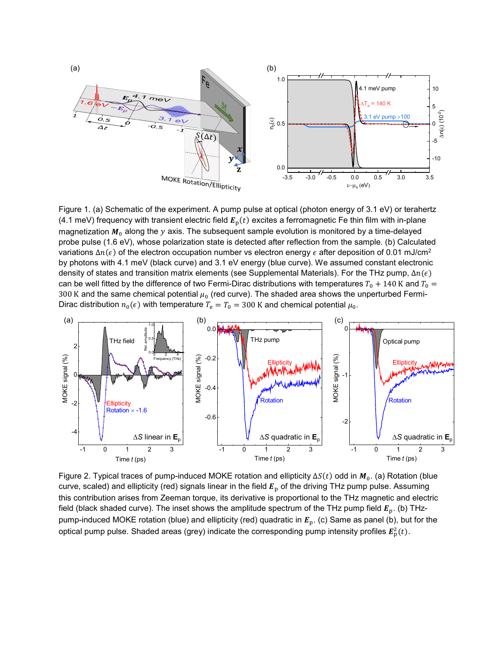

Figure 1. (a) Schematic of the experiment. A pump pulse at optical (photon energy of 3.1 eV) or terahertz (4.1 meV) frequency with transient electric field  $E<sub>p</sub>(t)$  excites a ferromagnetic Fe thin film with in-plane magnetization  $M_0$  along the y axis. The subsequent sample evolution is monitored by a time-delayed probe pulse (1.6 eV), whose polarization state is detected after reflection from the sample. (b) Calculated variations  $\Delta n(\epsilon)$  of the electron occupation number vs electron energy  $\epsilon$  after deposition of 0.01 mJ/cm<sup>2</sup> by photons with 4.1 meV (black curve) and 3.1 eV energy (blue curve). We assumed constant electronic density of states and transition matrix elements (see Supplemental Materials). For the THz pump,  $\Delta n(\epsilon)$ can be well fitted by the difference of two Fermi-Dirac distributions with temperatures  $T_0 + 140$  K and  $T_0 =$ 300 K and the same chemical potential  $\mu_0$  (red curve). The shaded area shows the unperturbed Fermi-Dirac distribution  $n_0(\epsilon)$  with temperature  $T_e = T_0 = 300$  K and chemical potential  $\mu_0$ .



Figure 2. Typical traces of pump-induced MOKE rotation and ellipticity  $\Delta S(t)$  odd in  $M_0$ . (a) Rotation (blue curve, scaled) and ellipticity (red) signals linear in the field  $E<sub>p</sub>$  of the driving THz pump pulse. Assuming this contribution arises from Zeeman torque, its derivative is proportional to the THz magnetic and electric field (black shaded curve). The inset shows the amplitude spectrum of the THz pump field  $E_p$ . (b) THzpump-induced MOKE rotation (blue) and ellipticity (red) quadratic in  $E_p$ . (c) Same as panel (b), but for the optical pump pulse. Shaded areas (grey) indicate the corresponding pump intensity profiles  $\pmb{E}^2_{\rm p}(t).$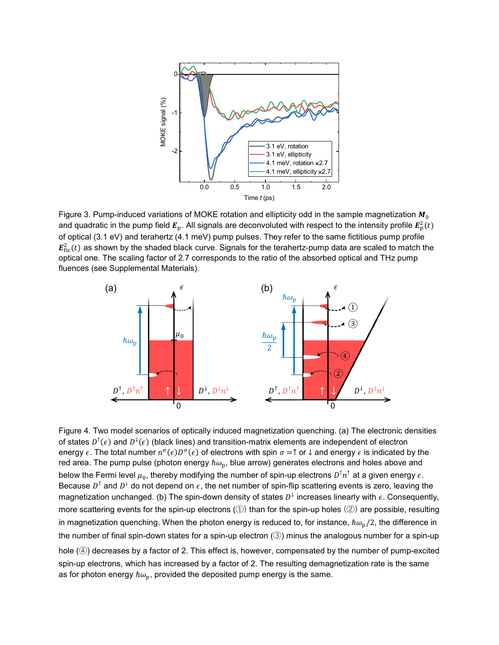

Figure 3. Pump-induced variations of MOKE rotation and ellipticity odd in the sample magnetization  $M_0$ and quadratic in the pump field  $E_{\rm p}$ . All signals are deconvoluted with respect to the intensity profile  $E_{\rm p}^2(t)$ of optical (3.1 eV) and terahertz (4.1 meV) pump pulses. They refer to the same fictitious pump profile  $E_{\rm fic}^2(t)$  as shown by the shaded black curve. Signals for the terahertz-pump data are scaled to match the optical one. The scaling factor of 2.7 corresponds to the ratio of the absorbed optical and THz pump fluences (see Supplemental Materials).



Figure 4. Two model scenarios of optically induced magnetization quenching. (a) The electronic densities of states  $D^{\dagger}(\epsilon)$  and  $D^{\dagger}(\epsilon)$  (black lines) and transition-matrix elements are independent of electron energy  $\epsilon$ . The total number  $n^{\sigma}(\epsilon) D^{\sigma}(\epsilon)$  of electrons with spin  $\sigma = \uparrow$  or  $\downarrow$  and energy  $\epsilon$  is indicated by the red area. The pump pulse (photon energy  $\hbar\omega_{\rm p}$ , blue arrow) generates electrons and holes above and below the Fermi level  $\mu_0$ , thereby modifying the number of spin-up electrons  $D^{\dagger}n^{\dagger}$  at a given energy  $\epsilon$ . Because  $D^{\dagger}$  and  $D^{\dagger}$  do not depend on  $\epsilon$ , the net number of spin-flip scattering events is zero, leaving the magnetization unchanged. (b) The spin-down density of states  $D^{\downarrow}$  increases linearly with  $\epsilon$ . Consequently, more scattering events for the spin-up electrons (①) than for the spin-up holes (②) are possible, resulting in magnetization quenching. When the photon energy is reduced to, for instance,  $\hbar\omega_{\rm n}/2$ , the difference in the number of final spin-down states for a spin-up electron (③) minus the analogous number for a spin-up hole (4) decreases by a factor of 2. This effect is, however, compensated by the number of pump-excited spin-up electrons, which has increased by a factor of 2. The resulting demagnetization rate is the same as for photon energy  $\hbar\omega_{\rm p}$ , provided the deposited pump energy is the same.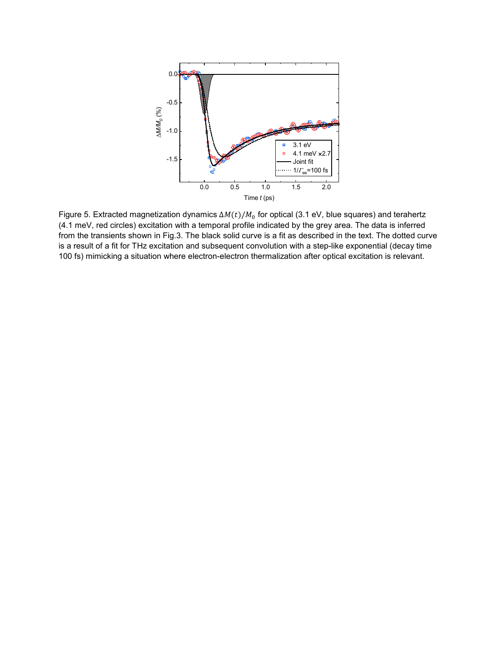

Figure 5. Extracted magnetization dynamics  $\Delta M(t)/M_0$  for optical (3.1 eV, blue squares) and terahertz (4.1 meV, red circles) excitation with a temporal profile indicated by the grey area. The data is inferred from the transients shown in Fig.3. The black solid curve is a fit as described in the text. The dotted curve is a result of a fit for THz excitation and subsequent convolution with a step-like exponential (decay time 100 fs) mimicking a situation where electron-electron thermalization after optical excitation is relevant.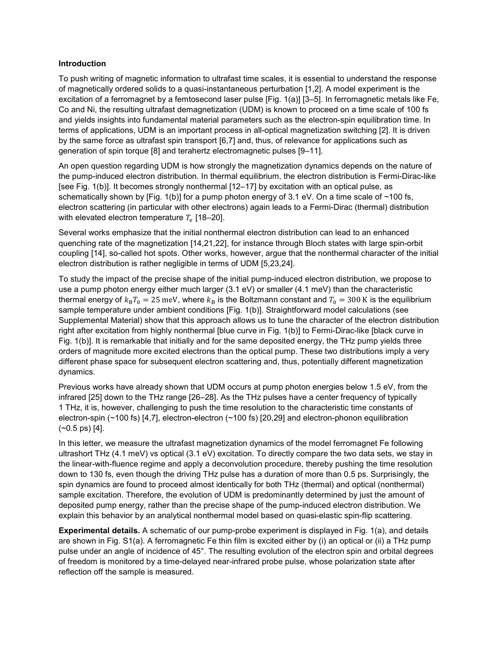## **Introduction**

To push writing of magnetic information to ultrafast time scales, it is essential to understand the response of magnetically ordered solids to a quasi-instantaneous perturbation [1,2]. A model experiment is the excitation of a ferromagnet by a femtosecond laser pulse [Fig. 1(a)] [3–5]. In ferromagnetic metals like Fe, Co and Ni, the resulting ultrafast demagnetization (UDM) is known to proceed on a time scale of 100 fs and yields insights into fundamental material parameters such as the electron-spin equilibration time. In terms of applications, UDM is an important process in all-optical magnetization switching [2]. It is driven by the same force as ultrafast spin transport [6,7] and, thus, of relevance for applications such as generation of spin torque [8] and terahertz electromagnetic pulses [9–11].

An open question regarding UDM is how strongly the magnetization dynamics depends on the nature of the pump-induced electron distribution. In thermal equilibrium, the electron distribution is Fermi-Dirac-like [see Fig. 1(b)]. It becomes strongly nonthermal [12–17] by excitation with an optical pulse, as schematically shown by [Fig. 1(b)] for a pump photon energy of 3.1 eV. On a time scale of ~100 fs, electron scattering (in particular with other electrons) again leads to a Fermi-Dirac (thermal) distribution with elevated electron temperature  $T_e$  [18–20].

Several works emphasize that the initial nonthermal electron distribution can lead to an enhanced quenching rate of the magnetization [14,21,22], for instance through Bloch states with large spin-orbit coupling [14], so-called hot spots. Other works, however, argue that the nonthermal character of the initial electron distribution is rather negligible in terms of UDM [5,23,24].

To study the impact of the precise shape of the initial pump-induced electron distribution, we propose to use a pump photon energy either much larger (3.1 eV) or smaller (4.1 meV) than the characteristic thermal energy of  $k_B T_0 = 25$  meV, where  $k_B$  is the Boltzmann constant and  $T_0 = 300$  K is the equilibrium sample temperature under ambient conditions [Fig. 1(b)]. Straightforward model calculations (see Supplemental Material) show that this approach allows us to tune the character of the electron distribution right after excitation from highly nonthermal [blue curve in Fig. 1(b)] to Fermi-Dirac-like [black curve in Fig. 1(b)]. It is remarkable that initially and for the same deposited energy, the THz pump yields three orders of magnitude more excited electrons than the optical pump. These two distributions imply a very different phase space for subsequent electron scattering and, thus, potentially different magnetization dynamics.

Previous works have already shown that UDM occurs at pump photon energies below 1.5 eV, from the infrared [25] down to the THz range [26–28]. As the THz pulses have a center frequency of typically 1 THz, it is, however, challenging to push the time resolution to the characteristic time constants of electron-spin (~100 fs) [4,7], electron-electron (~100 fs) [20,29] and electron-phonon equilibration  $(-0.5 \text{ ps})$  [4].

In this letter, we measure the ultrafast magnetization dynamics of the model ferromagnet Fe following ultrashort THz (4.1 meV) vs optical (3.1 eV) excitation. To directly compare the two data sets, we stay in the linear-with-fluence regime and apply a deconvolution procedure, thereby pushing the time resolution down to 130 fs, even though the driving THz pulse has a duration of more than 0.5 ps. Surprisingly, the spin dynamics are found to proceed almost identically for both THz (thermal) and optical (nonthermal) sample excitation. Therefore, the evolution of UDM is predominantly determined by just the amount of deposited pump energy, rather than the precise shape of the pump-induced electron distribution. We explain this behavior by an analytical nonthermal model based on quasi-elastic spin-flip scattering.

**Experimental details.** A schematic of our pump-probe experiment is displayed in Fig. 1(a), and details are shown in Fig. S1(a). A ferromagnetic Fe thin film is excited either by (i) an optical or (ii) a THz pump pulse under an angle of incidence of 45°. The resulting evolution of the electron spin and orbital degrees of freedom is monitored by a time-delayed near-infrared probe pulse, whose polarization state after reflection off the sample is measured.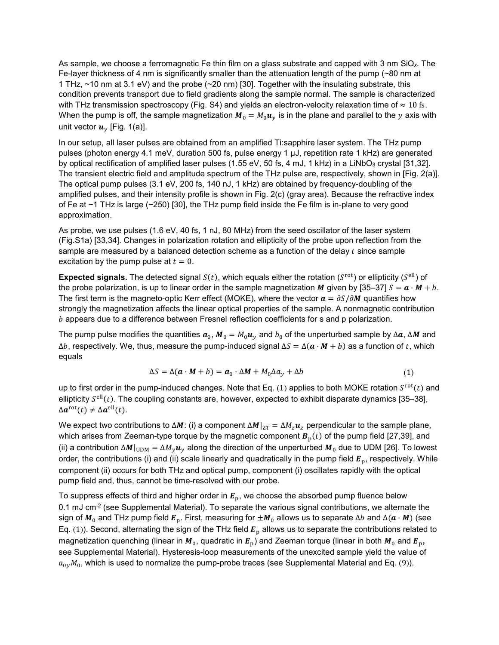As sample, we choose a ferromagnetic Fe thin film on a glass substrate and capped with 3 nm SiO*x*. The Fe-layer thickness of 4 nm is significantly smaller than the attenuation length of the pump ( $\sim$ 80 nm at 1 THz, ~10 nm at 3.1 eV) and the probe (~20 nm) [30]. Together with the insulating substrate, this condition prevents transport due to field gradients along the sample normal. The sample is characterized with THz transmission spectroscopy (Fig. S4) and yields an electron-velocity relaxation time of  $\approx 10$  fs. When the pump is off, the sample magnetization  $M_0 = M_0 u_y$  is in the plane and parallel to the y axis with unit vector  $u_v$  [Fig. 1(a)].

In our setup, all laser pulses are obtained from an amplified Ti:sapphire laser system. The THz pump pulses (photon energy 4.1 meV, duration 500 fs, pulse energy 1 µJ, repetition rate 1 kHz) are generated by optical rectification of amplified laser pulses (1.55 eV, 50 fs, 4 mJ, 1 kHz) in a LiNbO<sub>3</sub> crystal [31,32]. The transient electric field and amplitude spectrum of the THz pulse are, respectively, shown in [Fig. 2(a)]. The optical pump pulses (3.1 eV, 200 fs, 140 nJ, 1 kHz) are obtained by frequency-doubling of the amplified pulses, and their intensity profile is shown in Fig. 2(c) (gray area). Because the refractive index of Fe at ~1 THz is large (~250) [30], the THz pump field inside the Fe film is in-plane to very good approximation.

As probe, we use pulses (1.6 eV, 40 fs, 1 nJ, 80 MHz) from the seed oscillator of the laser system (Fig.S1a) [33,34]. Changes in polarization rotation and ellipticity of the probe upon reflection from the sample are measured by a balanced detection scheme as a function of the delay  $t$  since sample excitation by the pump pulse at  $t = 0$ .

**Expected signals.** The detected signal  $S(t)$ , which equals either the rotation ( $S<sup>rot</sup>$ ) or ellipticity ( $S<sup>ell</sup>$ ) of the probe polarization, is up to linear order in the sample magnetization M given by [35–37]  $S = a \cdot M + b$ . The first term is the magneto-optic Kerr effect (MOKE), where the vector  $a = \partial S/\partial M$  quantifies how strongly the magnetization affects the linear optical properties of the sample. A nonmagnetic contribution  $b$  appears due to a difference between Fresnel reflection coefficients for s and p polarization.

The pump pulse modifies the quantities  $a_0$ ,  $M_0 = M_0 u_v$  and  $b_0$  of the unperturbed sample by  $\Delta a$ ,  $\Delta M$  and  $\Delta b$ , respectively. We, thus, measure the pump-induced signal  $\Delta S = \Delta(a \cdot M + b)$  as a function of t, which equals

<span id="page-5-0"></span>
$$
\Delta S = \Delta(\mathbf{a} \cdot \mathbf{M} + b) = \mathbf{a}_0 \cdot \Delta \mathbf{M} + M_0 \Delta a_y + \Delta b \tag{1}
$$

up to first order in the pump-induced changes. Note that Eq. ([1](#page-5-0)) applies to both MOKE rotation  $S^{\text{rot}}(t)$  and ellipticity  $S<sup>ell</sup>(t)$ . The coupling constants are, however, expected to exhibit disparate dynamics [35–38],  $\Delta a^{\text{rot}}(t) \neq \Delta a^{\text{ell}}(t)$ .

We expect two contributions to  $\Delta M$ : (i) a component  $\Delta M|_{ZT} = \Delta M_z \mathbf{u}_z$  perpendicular to the sample plane, which arises from Zeeman-type torque by the magnetic component  $B<sub>p</sub>(t)$  of the pump field [27,39], and (ii) a contribution  $\Delta M|_{\text{UDM}} = \Delta M_v u_v$  along the direction of the unperturbed  $M_0$  due to UDM [26]. To lowest order, the contributions (i) and (ii) scale linearly and quadratically in the pump field  $E_p$ , respectively. While component (ii) occurs for both THz and optical pump, component (i) oscillates rapidly with the optical pump field and, thus, cannot be time-resolved with our probe.

To suppress effects of third and higher order in  $E_p$ , we choose the absorbed pump fluence below  $0.1$  mJ cm<sup>-2</sup> (see Supplemental Material). To separate the various signal contributions, we alternate the sign of  $M_0$  and THz pump field  $E_p$ . First, measuring for  $\pm M_0$  allows us to separate Δb and  $\Delta(a \cdot M)$  (see Eq. ([1](#page-5-0))). Second, alternating the sign of the THz field  $E_p$  allows us to separate the contributions related to magnetization quenching (linear in  $M_0$ , quadratic in  $E_p$ ) and Zeeman torque (linear in both  $M_0$  and  $E_p$ , see Supplemental Material). Hysteresis-loop measurements of the unexcited sample yield the value of  $a_{0y}M_0$ , which is used to normalize the pump-probe traces (see Supplemental Material and Eq. ([9](#page-14-0))).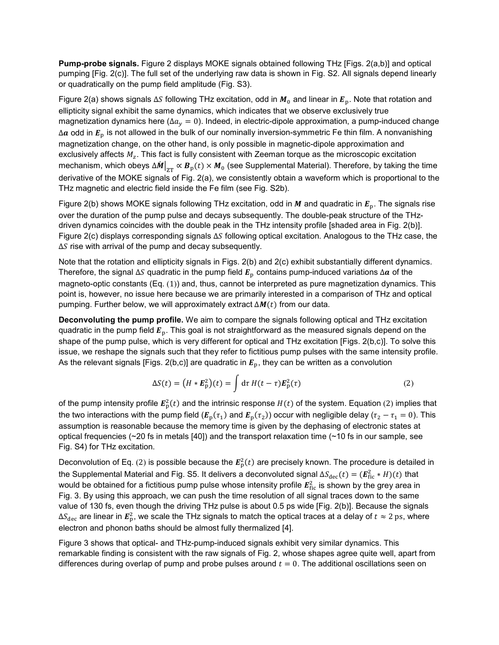**Pump-probe signals.** Figure 2 displays MOKE signals obtained following THz [Figs. 2(a,b)] and optical pumping [Fig. 2(c)]. The full set of the underlying raw data is shown in Fig. S2. All signals depend linearly or quadratically on the pump field amplitude (Fig. S3).

Figure 2(a) shows signals  $\Delta S$  following THz excitation, odd in  $M_0$  and linear in  $E_p$ . Note that rotation and ellipticity signal exhibit the same dynamics, which indicates that we observe exclusively true magnetization dynamics here ( $\Delta a_v = 0$ ). Indeed, in electric-dipole approximation, a pump-induced change  $\Delta a$  odd in  $E_p$  is not allowed in the bulk of our nominally inversion-symmetric Fe thin film. A nonvanishing magnetization change, on the other hand, is only possible in magnetic-dipole approximation and exclusively affects  $M_z$ . This fact is fully consistent with Zeeman torque as the microscopic excitation mechanism, which obeys  $\Delta M\vert_{\rm ZT}\propto B_{\rm p}(t)\times M_0$  (see Supplemental Material). Therefore, by taking the time derivative of the MOKE signals of Fig. 2(a), we consistently obtain a waveform which is proportional to the THz magnetic and electric field inside the Fe film (see Fig. S2b).

Figure 2(b) shows MOKE signals following THz excitation, odd in M and quadratic in  $E<sub>p</sub>$ . The signals rise over the duration of the pump pulse and decays subsequently. The double-peak structure of the THzdriven dynamics coincides with the double peak in the THz intensity profile [shaded area in Fig. 2(b)]. Figure 2(c) displays corresponding signals  $\Delta S$  following optical excitation. Analogous to the THz case, the  $\Delta S$  rise with arrival of the pump and decay subsequently.

Note that the rotation and ellipticity signals in Figs. 2(b) and 2(c) exhibit substantially different dynamics. Therefore, the signal  $\Delta S$  quadratic in the pump field  $E<sub>p</sub>$  contains pump-induced variations  $\Delta a$  of the magneto-optic constants (Eq. ([1](#page-5-0))) and, thus, cannot be interpreted as pure magnetization dynamics. This point is, however, no issue here because we are primarily interested in a comparison of THz and optical pumping. Further below, we will approximately extract  $\Delta M(t)$  from our data.

**Deconvoluting the pump profile.** We aim to compare the signals following optical and THz excitation quadratic in the pump field  $E_{\rm p}$ . This goal is not straightforward as the measured signals depend on the shape of the pump pulse, which is very different for optical and THz excitation [Figs. 2(b,c)]. To solve this issue, we reshape the signals such that they refer to fictitious pump pulses with the same intensity profile. As the relevant signals [Figs. 2(b,c)] are quadratic in  $E_p$ , they can be written as a convolution

<span id="page-6-0"></span>
$$
\Delta S(t) = (H * \boldsymbol{E}_p^2)(t) = \int d\tau \, H(t - \tau) \boldsymbol{E}_p^2(\tau) \tag{2}
$$

of the pump intensity profile  $E_{\rm p}^2(t)$  $E_{\rm p}^2(t)$  $E_{\rm p}^2(t)$  and the intrinsic response  $H(t)$  of the system. Equation (2) implies that the two interactions with the pump field ( $E_p(\tau_1)$  and  $E_p(\tau_2)$ ) occur with negligible delay ( $\tau_2 - \tau_1 = 0$ ). This assumption is reasonable because the memory time is given by the dephasing of electronic states at optical frequencies ( $\sim$ 20 fs in metals [40]) and the transport relaxation time ( $\sim$ 10 fs in our sample, see Fig. S4) for THz excitation.

Deconvolution of Eq. ([2](#page-6-0)) is possible because the  $E_\mathrm{p}^2(t)$  are precisely known. The procedure is detailed in the Supplemental Material and Fig. S5. It delivers a deconvoluted signal  $\Delta S_{\rm dec}(t)=(\bm{E}_{\rm fic}^2*H)(t)$  that would be obtained for a fictitious pump pulse whose intensity profile  $\pmb{E}^2_\text{fic}$  is shown by the grey area in Fig. 3. By using this approach, we can push the time resolution of all signal traces down to the same value of 130 fs, even though the driving THz pulse is about 0.5 ps wide [Fig. 2(b)]. Because the signals Δ $S_{\rm dec}$  are linear in  $E^2_{\rm p}$ , we scale the THz signals to match the optical traces at a delay of  $t\approx 2$   ${\rm ps}$ , where electron and phonon baths should be almost fully thermalized [4].

Figure 3 shows that optical- and THz-pump-induced signals exhibit very similar dynamics. This remarkable finding is consistent with the raw signals of Fig. 2, whose shapes agree quite well, apart from differences during overlap of pump and probe pulses around  $t = 0$ . The additional oscillations seen on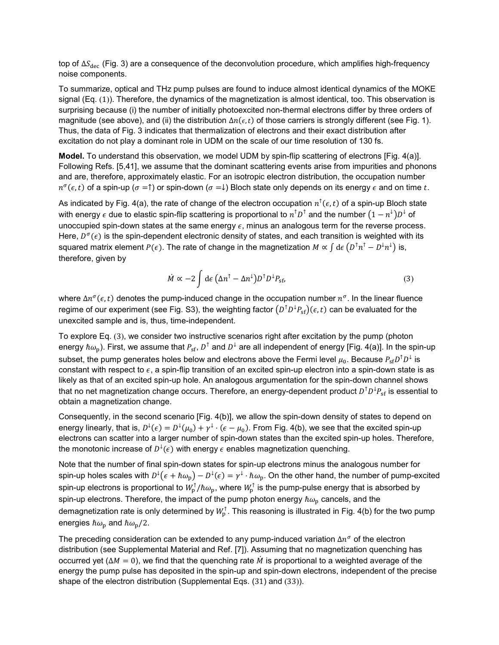top of  $\Delta S_{\text{dec}}$  (Fig. 3) are a consequence of the deconvolution procedure, which amplifies high-frequency noise components.

To summarize, optical and THz pump pulses are found to induce almost identical dynamics of the MOKE signal (Eq. ([1](#page-5-0))). Therefore, the dynamics of the magnetization is almost identical, too. This observation is surprising because (i) the number of initially photoexcited non-thermal electrons differ by three orders of magnitude (see above), and (ii) the distribution  $\Delta n(\epsilon,t)$  of those carriers is strongly different (see Fig. 1). Thus, the data of Fig. 3 indicates that thermalization of electrons and their exact distribution after excitation do not play a dominant role in UDM on the scale of our time resolution of 130 fs.

**Model.** To understand this observation, we model UDM by spin-flip scattering of electrons [Fig. 4(a)]. Following Refs. [5,41], we assume that the dominant scattering events arise from impurities and phonons and are, therefore, approximately elastic. For an isotropic electron distribution, the occupation number  $n^{\sigma}(\epsilon,t)$  of a spin-up ( $\sigma = \uparrow$ ) or spin-down ( $\sigma = \downarrow$ ) Bloch state only depends on its energy  $\epsilon$  and on time t.

As indicated by Fig. 4(a), the rate of change of the electron occupation  $n^{\uparrow}(\epsilon,t)$  of a spin-up Bloch state with energy  $\epsilon$  due to elastic spin-flip scattering is proportional to  $n^\intercal D^\intercal$  and the number  $(1-n^\downarrow)D^\downarrow$  of unoccupied spin-down states at the same energy  $\epsilon$ , minus an analogous term for the reverse process. Here,  $D^{\sigma}(\epsilon)$  is the spin-dependent electronic density of states, and each transition is weighted with its squared matrix element  $P(\epsilon)$ . The rate of change in the magnetization  $M \propto \int d\epsilon (D^\dagger n^\dagger - D^\dagger n^\dagger)$  is, therefore, given by

<span id="page-7-0"></span>
$$
\dot{M} \propto -2 \int d\epsilon \left( \Delta n^{\dagger} - \Delta n^{\dagger} \right) D^{\dagger} D^{\dagger} P_{\rm sf}, \tag{3}
$$

where  $\Delta n^{\sigma}(\epsilon,t)$  denotes the pump-induced change in the occupation number  $n^{\sigma}$ . In the linear fluence regime of our experiment (see Fig. S3), the weighting factor  $(D^\top D^\downarrow P_\text{sf})(\epsilon,t)$  can be evaluated for the unexcited sample and is, thus, time-independent.

To explore Eq. ([3](#page-7-0)), we consider two instructive scenarios right after excitation by the pump (photon energy  $\hbar\omega_p$ ). First, we assume that  $P_{sf}$ ,  $D^{\uparrow}$  and  $D^{\downarrow}$  are all independent of energy [Fig. 4(a)]. In the spin-up subset, the pump generates holes below and electrons above the Fermi level  $\mu_0$ . Because  $P_{\rm sf}D^{\dagger}D^{\downarrow}$  is constant with respect to  $\epsilon$ , a spin-flip transition of an excited spin-up electron into a spin-down state is as likely as that of an excited spin-up hole. An analogous argumentation for the spin-down channel shows that no net magnetization change occurs. Therefore, an energy-dependent product  $D^\intercal D^\downarrow P_{\rm sf}$  is essential to obtain a magnetization change.

Consequently, in the second scenario [Fig. 4(b)], we allow the spin-down density of states to depend on energy linearly, that is,  $D^{\downarrow}(\epsilon) = D^{\downarrow}(\mu_0) + \gamma^{\downarrow} \cdot (\epsilon - \mu_0)$ . From Fig. 4(b), we see that the excited spin-up electrons can scatter into a larger number of spin-down states than the excited spin-up holes. Therefore, the monotonic increase of  $D^{\downarrow}(\epsilon)$  with energy  $\epsilon$  enables magnetization quenching.

Note that the number of final spin-down states for spin-up electrons minus the analogous number for spin-up holes scales with  $D^{\downarrow}(\epsilon + \hbar\omega_{\rm p}) - D^{\downarrow}(\epsilon) = \gamma^{\downarrow}\cdot\hbar\omega_{\rm p}.$  On the other hand, the number of pump-excited spin-up electrons is proportional to  $W_{\rm p}^{\gamma}/\hbar\omega_{\rm p}$ , where  $W_{\rm p}^{\gamma}$  is the pump-pulse energy that is absorbed by spin-up electrons. Therefore, the impact of the pump photon energy  $\hbar\omega_p$  cancels, and the demagnetization rate is only determined by  $W_{\rm p}^{\rm \scriptscriptstyle T}.$  This reasoning is illustrated in Fig. 4(b) for the two pump energies  $\hbar\omega_{\rm p}$  and  $\hbar\omega_{\rm p}/2$ .

The preceding consideration can be extended to any pump-induced variation  $\Delta n^{\sigma}$  of the electron distribution (see Supplemental Material and Ref. [7]). Assuming that no magnetization quenching has occurred yet ( $\Delta M = 0$ ), we find that the quenching rate  $\dot{M}$  is proportional to a weighted average of the energy the pump pulse has deposited in the spin-up and spin-down electrons, independent of the precise shape of the electron distribution (Supplemental Eqs. ([31](#page-17-0)) and ([33](#page-17-1))).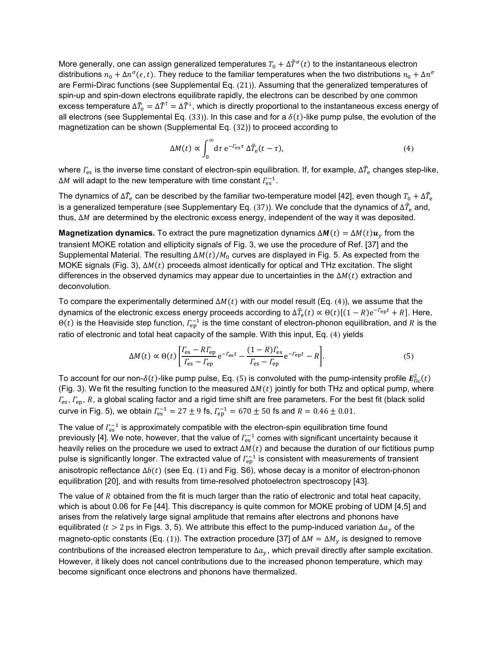More generally, one can assign generalized temperatures  $T_0 + \Delta \tilde{T}^{\sigma}(t)$  to the instantaneous electron distributions  $n_0 + \Delta n^{\sigma}(\epsilon, t)$ . They reduce to the familiar temperatures when the two distributions  $n_0 + \Delta n^{\sigma}$ are Fermi-Dirac functions (see Supplemental Eq. ([21](#page-15-0))). Assuming that the generalized temperatures of spin-up and spin-down electrons equilibrate rapidly, the electrons can be described by one common excess temperature  $\Delta T_{\rm e}=\Delta T^{\rm t}=\Delta T^{\rm t}$ , which is directly proportional to the instantaneous excess energy of all electrons (see Supplemental Eq. ([33](#page-17-1))). In this case and for a  $\delta(t)$ -like pump pulse, the evolution of the magnetization can be shown (Supplemental Eq. ([32](#page-17-2))) to proceed according to

<span id="page-8-0"></span>
$$
\Delta M(t) \propto \int_0^\infty dt \ e^{-\Gamma_{\text{es}}\tau} \Delta \tilde{T}_e(t-\tau), \tag{4}
$$

where  $\rm \Gamma_{es}$  is the inverse time constant of electron-spin equilibration. If, for example,  $\rm \Delta\it \tilde{T}_{e}$  changes step-like, ΔM will adapt to the new temperature with time constant  $\varGamma_{\text{es}}^{-1}.$ 

The dynamics of  $\Delta \tilde{T}_{\rm e}$  can be described by the familiar two-temperature model [42], even though  $T_0+\Delta \tilde{T}_{\rm e}$ is a generalized temperature (see Supplementary Eq. ([37](#page-18-0))). We conclude that the dynamics of  $\Delta\bar{T}_{\rm e}$  and, thus,  $\Delta M$  are determined by the electronic excess energy, independent of the way it was deposited.

**Magnetization dynamics.** To extract the pure magnetization dynamics  $\Delta M(t) = \Delta M(t) u_v$  from the transient MOKE rotation and ellipticity signals of Fig. 3, we use the procedure of Ref. [37] and the Supplemental Material. The resulting  $\Delta M(t)/M_0$  curves are displayed in Fig. 5. As expected from the MOKE signals (Fig. 3),  $\Delta M(t)$  proceeds almost identically for optical and THz excitation. The slight differences in the observed dynamics may appear due to uncertainties in the  $\Delta M(t)$  extraction and deconvolution.

To compare the experimentally determined  $\Delta M(t)$  with our model result (Eq. ([4](#page-8-0))), we assume that the dynamics of the electronic excess energy proceeds according to  $\Delta\tilde{T}_{\rm e}(t)\propto\Theta(t)[(1-R){\rm e}^{-\int_{\rm e}^t}+R]$ . Here, Θ( $t$ ) is the Heaviside step function,  $\varGamma_{\rm ep}^{-1}$  is the time constant of electron-phonon equilibration, and  $R$  is the ratio of electronic and total heat capacity of the sample. With this input, Eq. ([4](#page-8-0)) yields

<span id="page-8-1"></span>
$$
\Delta M(t) \propto \Theta(t) \left[ \frac{\Gamma_{\text{es}} - R\Gamma_{\text{ep}}}{\Gamma_{\text{es}} - \Gamma_{\text{ep}}} e^{-r_{\text{es}}t} - \frac{(1 - R)\Gamma_{\text{es}}}{\Gamma_{\text{es}} - \Gamma_{\text{ep}}} e^{-r_{\text{ep}}t} - R \right].
$$
\n(5)

To account for our non- $\delta(t)$ -like pump pulse, Eq. ([5](#page-8-1)) is convoluted with the pump-intensity profile  $\pmb{E}^2_{\text{fic}}(t)$ (Fig. 3). We fit the resulting function to the measured  $\Delta M(t)$  jointly for both THz and optical pump, where  $r_{\rm es}$ ,  $r_{\rm ep}$ , R, a global scaling factor and a rigid time shift are free parameters. For the best fit (black solid curve in Fig. 5), we obtain  $\Gamma_{\rm es}^{-1} = 27 \pm 9$  fs,  $\Gamma_{\rm ep}^{-1} = 670 \pm 50$  fs and  $R = 0.46 \pm 0.01$ .

The value of  $\Gamma_{\rm es}^{-1}$  is approximately compatible with the electron-spin equilibration time found previously [4]. We note, however, that the value of  $\mathit{\mathit{\Gamma}_{es}^{-1}}$  comes with significant uncertainty because it heavily relies on the procedure we used to extract  $\Delta M(t)$  and because the duration of our fictitious pump pulse is significantly longer. The extracted value of  $\mathit{\Gamma}^{-1}_{\mathrm{ep}}$  is consistent with measurements of transient anisotropic reflectance  $\Delta b(t)$  (see Eq. ([1](#page-5-0)) and Fig. S6), whose decay is a monitor of electron-phonon equilibration [20], and with results from time-resolved photoelectron spectroscopy [43].

The value of  $R$  obtained from the fit is much larger than the ratio of electronic and total heat capacity, which is about 0.06 for Fe [44]. This discrepancy is quite common for MOKE probing of UDM [4,5] and arises from the relatively large signal amplitude that remains after electrons and phonons have equilibrated ( $t > 2$  ps in Figs. 3, 5). We attribute this effect to the pump-induced variation  $\Delta a_{\nu}$  of the magneto-optic constants (Eq. ([1](#page-5-0))). The extraction procedure [37] of  $\Delta M = \Delta M_v$  is designed to remove contributions of the increased electron temperature to  $\Delta a_y$ , which prevail directly after sample excitation. However, it likely does not cancel contributions due to the increased phonon temperature, which may become significant once electrons and phonons have thermalized.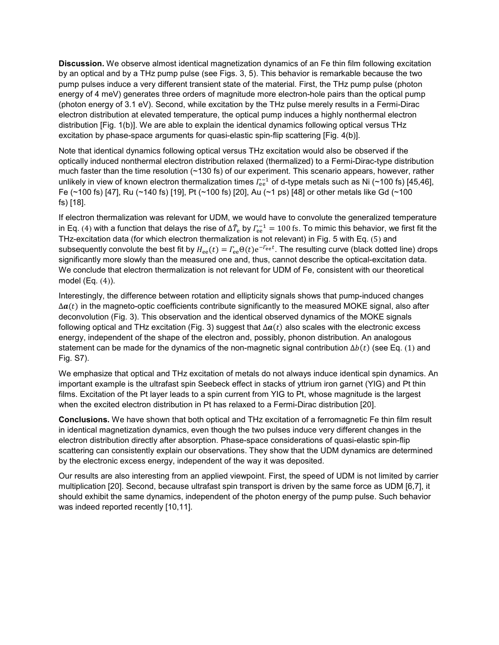**Discussion.** We observe almost identical magnetization dynamics of an Fe thin film following excitation by an optical and by a THz pump pulse (see Figs. 3, 5). This behavior is remarkable because the two pump pulses induce a very different transient state of the material. First, the THz pump pulse (photon energy of 4 meV) generates three orders of magnitude more electron-hole pairs than the optical pump (photon energy of 3.1 eV). Second, while excitation by the THz pulse merely results in a Fermi-Dirac electron distribution at elevated temperature, the optical pump induces a highly nonthermal electron distribution [Fig. 1(b)]. We are able to explain the identical dynamics following optical versus THz excitation by phase-space arguments for quasi-elastic spin-flip scattering [Fig. 4(b)].

Note that identical dynamics following optical versus THz excitation would also be observed if the optically induced nonthermal electron distribution relaxed (thermalized) to a Fermi-Dirac-type distribution much faster than the time resolution (~130 fs) of our experiment. This scenario appears, however, rather unlikely in view of known electron thermalization times  $\rm \Gamma_{ee}^{-1}$  of d-type metals such as Ni (~100 fs) [45,46], Fe (~100 fs) [47], Ru (~140 fs) [19], Pt (~100 fs) [20], Au (~1 ps) [48] or other metals like Gd (~100 fs) [18].

If electron thermalization was relevant for UDM, we would have to convolute the generalized temperature in Eq. ([4](#page-8-0)) with a function that delays the rise of  $\Delta T_{\rm e}$  by  $\Gamma_{\rm ee}^{-1}=100$  fs. To mimic this behavior, we first fit the THz-excitation data (for which electron thermalization is not relevant) in Fig. 5 with Eq. ([5](#page-8-1)) and subsequently convolute the best fit by  $H_{\rm ee}(t) = \Gamma_{\rm ee} \Theta(t) e^{-\Gamma_{\rm ee} t}$ . The resulting curve (black dotted line) drops significantly more slowly than the measured one and, thus, cannot describe the optical-excitation data. We conclude that electron thermalization is not relevant for UDM of Fe, consistent with our theoretical model (Eq. ([4](#page-8-0))).

Interestingly, the difference between rotation and ellipticity signals shows that pump-induced changes  $\Delta a(t)$  in the magneto-optic coefficients contribute significantly to the measured MOKE signal, also after deconvolution (Fig. 3). This observation and the identical observed dynamics of the MOKE signals following optical and THz excitation (Fig. 3) suggest that  $\Delta a(t)$  also scales with the electronic excess energy, independent of the shape of the electron and, possibly, phonon distribution. An analogous statement can be made for the dynamics of the non-magnetic signal contribution  $\Delta b(t)$  (see Eq. ([1](#page-5-0)) and Fig. S7).

We emphasize that optical and THz excitation of metals do not always induce identical spin dynamics. An important example is the ultrafast spin Seebeck effect in stacks of yttrium iron garnet (YIG) and Pt thin films. Excitation of the Pt layer leads to a spin current from YIG to Pt, whose magnitude is the largest when the excited electron distribution in Pt has relaxed to a Fermi-Dirac distribution [20].

**Conclusions.** We have shown that both optical and THz excitation of a ferromagnetic Fe thin film result in identical magnetization dynamics, even though the two pulses induce very different changes in the electron distribution directly after absorption. Phase-space considerations of quasi-elastic spin-flip scattering can consistently explain our observations. They show that the UDM dynamics are determined by the electronic excess energy, independent of the way it was deposited.

Our results are also interesting from an applied viewpoint. First, the speed of UDM is not limited by carrier multiplication [20]. Second, because ultrafast spin transport is driven by the same force as UDM [6,7], it should exhibit the same dynamics, independent of the photon energy of the pump pulse. Such behavior was indeed reported recently [10,11].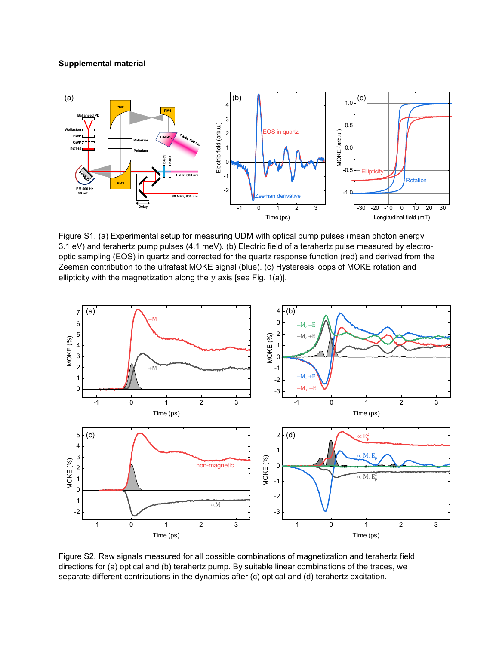## **Supplemental material**



Figure S1. (a) Experimental setup for measuring UDM with optical pump pulses (mean photon energy 3.1 eV) and terahertz pump pulses (4.1 meV). (b) Electric field of a terahertz pulse measured by electrooptic sampling (EOS) in quartz and corrected for the quartz response function (red) and derived from the Zeeman contribution to the ultrafast MOKE signal (blue). (c) Hysteresis loops of MOKE rotation and ellipticity with the magnetization along the  $y$  axis [see Fig. 1(a)].



Figure S2. Raw signals measured for all possible combinations of magnetization and terahertz field directions for (a) optical and (b) terahertz pump. By suitable linear combinations of the traces, we separate different contributions in the dynamics after (c) optical and (d) terahertz excitation.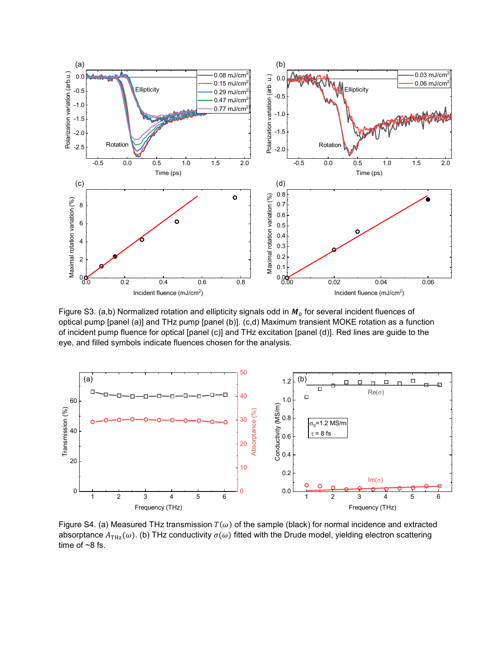

Figure S3. (a,b) Normalized rotation and ellipticity signals odd in  $M_0$  for several incident fluences of optical pump [panel (a)] and THz pump [panel (b)]. (c,d) Maximum transient MOKE rotation as a function of incident pump fluence for optical [panel (c)] and THz excitation [panel (d)]. Red lines are guide to the eye, and filled symbols indicate fluences chosen for the analysis.



Figure S4. (a) Measured THz transmission  $T(\omega)$  of the sample (black) for normal incidence and extracted absorptance  $A_{THz}(\omega)$ . (b) THz conductivity  $\sigma(\omega)$  fitted with the Drude model, yielding electron scattering time of  $~8$  fs.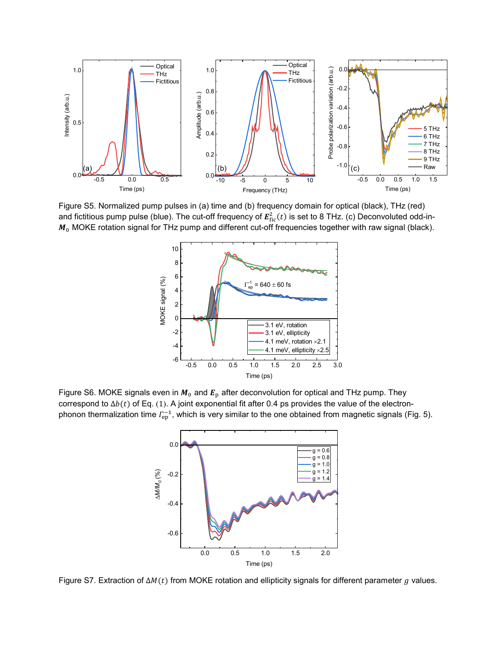

Figure S5. Normalized pump pulses in (a) time and (b) frequency domain for optical (black), THz (red) and fictitious pump pulse (blue). The cut-off frequency of  $E^2_{\rm fic}(t)$  is set to 8 THz. (c) Deconvoluted odd-in- $M_0$  MOKE rotation signal for THz pump and different cut-off frequencies together with raw signal (black).



Figure S6. MOKE signals even in  $M_0$  and  $E_p$  after deconvolution for optical and THz pump. They correspond to  $\Delta b(t)$  of Eq. ([1](#page-5-0)). A joint exponential fit after 0.4 ps provides the value of the electronphonon thermalization time  $\varGamma_{\rm ep}^{-1}$ , which is very similar to the one obtained from magnetic signals (Fig. 5).



Figure S7. Extraction of  $\Delta M(t)$  from MOKE rotation and ellipticity signals for different parameter g values.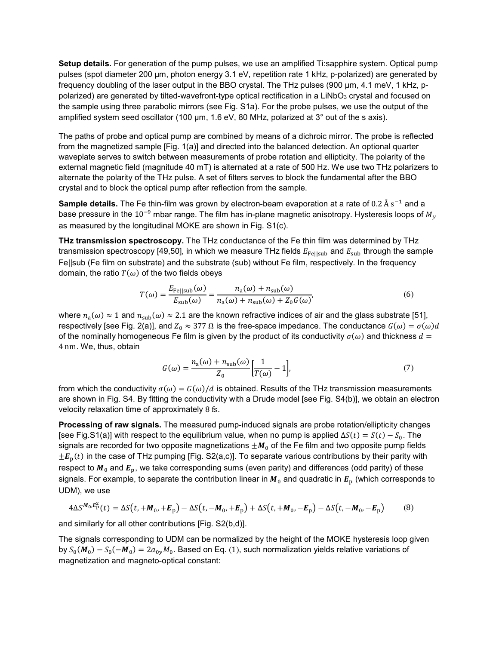**Setup details.** For generation of the pump pulses, we use an amplified Ti:sapphire system. Optical pump pulses (spot diameter 200 µm, photon energy 3.1 eV, repetition rate 1 kHz, p-polarized) are generated by frequency doubling of the laser output in the BBO crystal. The THz pulses (900 µm, 4.1 meV, 1 kHz, ppolarized) are generated by tilted-wavefront-type optical rectification in a LiNbO<sub>3</sub> crystal and focused on the sample using three parabolic mirrors (see Fig. S1a). For the probe pulses, we use the output of the amplified system seed oscillator (100 µm, 1.6 eV, 80 MHz, polarized at 3° out of the s axis).

The paths of probe and optical pump are combined by means of a dichroic mirror. The probe is reflected from the magnetized sample [Fig. 1(a)] and directed into the balanced detection. An optional quarter waveplate serves to switch between measurements of probe rotation and ellipticity. The polarity of the external magnetic field (magnitude 40 mT) is alternated at a rate of 500 Hz. We use two THz polarizers to alternate the polarity of the THz pulse. A set of filters serves to block the fundamental after the BBO crystal and to block the optical pump after reflection from the sample.

**Sample details.** The Fe thin-film was grown by electron-beam evaporation at a rate of 0.2 Å s<sup>−1</sup> and a base pressure in the 10<sup>-9</sup> mbar range. The film has in-plane magnetic anisotropy. Hysteresis loops of  $M_v$ as measured by the longitudinal MOKE are shown in Fig. S1(с).

**THz transmission spectroscopy.** The THz conductance of the Fe thin film was determined by THz transmission spectroscopy [49,50], in which we measure THz fields  $E_{\text{Fe}||\text{sub}}$  and  $E_{\text{sub}}$  through the sample Fe||sub (Fe film on substrate) and the substrate (sub) without Fe film, respectively. In the frequency domain, the ratio  $T(\omega)$  of the two fields obeys

$$
T(\omega) = \frac{E_{\text{Fe}||\text{sub}}(\omega)}{E_{\text{sub}}(\omega)} = \frac{n_a(\omega) + n_{\text{sub}}(\omega)}{n_a(\omega) + n_{\text{sub}}(\omega) + Z_0 G(\omega)},
$$
(6)

where  $n_a(\omega) \approx 1$  and  $n_{sub}(\omega) \approx 2.1$  are the known refractive indices of air and the glass substrate [51], respectively [see Fig. 2(a)], and  $Z_0 \approx 377 \Omega$  is the free-space impedance. The conductance  $G(\omega) = \sigma(\omega) d$ of the nominally homogeneous Fe film is given by the product of its conductivity  $\sigma(\omega)$  and thickness  $d =$ 4 nm. We, thus, obtain

<span id="page-13-1"></span><span id="page-13-0"></span>
$$
G(\omega) = \frac{n_a(\omega) + n_{\text{sub}}(\omega)}{Z_0} \left[ \frac{1}{T(\omega)} - 1 \right],\tag{7}
$$

from which the conductivity  $\sigma(\omega) = G(\omega)/d$  is obtained. Results of the THz transmission measurements are shown in Fig. S4. By fitting the conductivity with a Drude model [see Fig. S4(b)], we obtain an electron velocity relaxation time of approximately 8 fs.

**Processing of raw signals.** The measured pump-induced signals are probe rotation/ellipticity changes [see Fig.S1(a)] with respect to the equilibrium value, when no pump is applied  $\Delta S(t) = S(t) - S_0$ . The signals are recorded for two opposite magnetizations  $\pm M_0$  of the Fe film and two opposite pump fields  $\pm E_p(t)$  in the case of THz pumping [Fig. S2(a,c)]. To separate various contributions by their parity with respect to  $M_0$  and  $E_p$ , we take corresponding sums (even parity) and differences (odd parity) of these signals. For example, to separate the contribution linear in  $M_0$  and quadratic in  $E_p$  (which corresponds to UDM), we use

$$
4\Delta S^{M_0, E_P^2}(t) = \Delta S(t, +M_0, +E_p) - \Delta S(t, -M_0, +E_p) + \Delta S(t, +M_0, -E_p) - \Delta S(t, -M_0, -E_p)
$$
(8)

and similarly for all other contributions [Fig. S2(b,d)].

The signals corresponding to UDM can be normalized by the height of the MOKE hysteresis loop given by  $S_0(M_0) - S_0(-M_0) = 2a_{0y}M_0$ . Based on Eq. ([1](#page-5-0)), such normalization yields relative variations of magnetization and magneto-optical constant: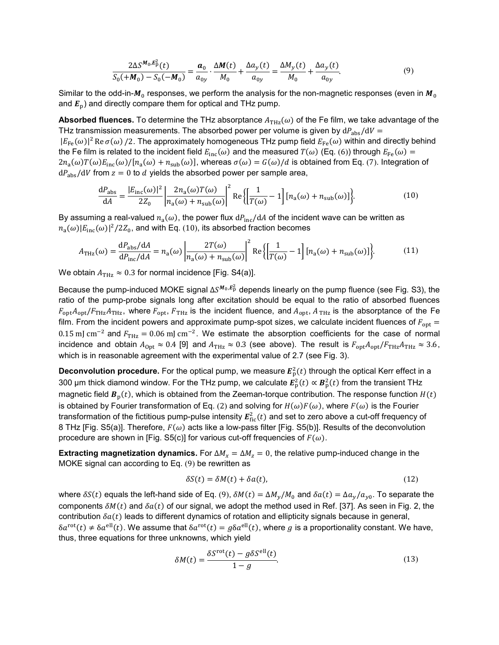<span id="page-14-0"></span>
$$
\frac{2\Delta S^{M_0,E_P^2}(t)}{S_0(+M_0)-S_0(-M_0)} = \frac{a_0}{a_{0y}} \cdot \frac{\Delta M(t)}{M_0} + \frac{\Delta a_y(t)}{a_{0y}} = \frac{\Delta M_y(t)}{M_0} + \frac{\Delta a_y(t)}{a_{0y}}.
$$
(9)

Similar to the odd-in- $M_0$  responses, we perform the analysis for the non-magnetic responses (even in  $M_0$ and  $E<sub>p</sub>$ ) and directly compare them for optical and THz pump.

**Absorbed fluences.** To determine the THz absorptance  $A_{THz}(\omega)$  of the Fe film, we take advantage of the THz transmission measurements. The absorbed power per volume is given by  $dP_{\rm abs}/dV =$  $|E_{\rm Fe}(\omega)|^2$  Re  $\sigma(\omega)$  /2. The approximately homogeneous THz pump field  $E_{\rm Fe}(\omega)$  within and directly behind the Fe film is related to the incident field  $E_{inc}(\omega)$  and the measured  $T(\omega)$  (Eq. ([6](#page-13-0))) through  $E_{Fe}(\omega)$  =  $2n_a(\omega)T(\omega)E_{\text{inc}}(\omega)/[n_a(\omega) + n_{\text{sub}}(\omega)]$ , whereas  $\sigma(\omega) = G(\omega)/d$  is obtained from Eq. ([7](#page-13-1)). Integration of  $dP_{\text{abs}}/dV$  from  $z = 0$  to  $d$  yields the absorbed power per sample area,

<span id="page-14-1"></span>
$$
\frac{dP_{\rm abs}}{dA} = \frac{|E_{\rm inc}(\omega)|^2}{2Z_0} \left| \frac{2n_a(\omega)T(\omega)}{n_a(\omega) + n_{\rm sub}(\omega)} \right|^2 \text{Re}\left\{ \left[ \frac{1}{T(\omega)} - 1 \right] [n_a(\omega) + n_{\rm sub}(\omega)] \right\}.
$$
 (10)

By assuming a real-valued  $n_a(\omega)$ , the power flux  $dP_{\text{inc}}/dA$  of the incident wave can be written as  $n_{\rm a}(\omega)|E_{\rm inc}(\omega)|^2/2Z_0$ , and with Eq. ([10](#page-14-1)), its absorbed fraction becomes

$$
A_{\text{THz}}(\omega) = \frac{\mathrm{d}P_{\text{abs}}/\mathrm{d}A}{\mathrm{d}P_{\text{inc}}/\mathrm{d}A} = n_{\text{a}}(\omega) \left| \frac{2T(\omega)}{n_{\text{a}}(\omega) + n_{\text{sub}}(\omega)} \right|^2 \text{Re}\left\{ \left[ \frac{1}{T(\omega)} - 1 \right] [n_{\text{a}}(\omega) + n_{\text{sub}}(\omega)] \right\}.
$$
 (11)

We obtain  $A_{\text{THz}} \approx 0.3$  for normal incidence [Fig. S4(a)].

Because the pump-induced MOKE signal  $\Delta S^{M_0,E^2_p}$  depends linearly on the pump fluence (see Fig. S3), the ratio of the pump-probe signals long after excitation should be equal to the ratio of absorbed fluences  $F_{\text{opt}}A_{\text{opt}}/F_{\text{THz}}A_{\text{THz}}$ , where  $F_{\text{opt}}$ ,  $F_{\text{THz}}$  is the incident fluence, and  $A_{\text{opt}}$ ,  $A_{\text{THz}}$  is the absorptance of the Fe film. From the incident powers and approximate pump-spot sizes, we calculate incident fluences of  $F_{\text{opt}} =$ 0.15 mJ cm<sup>-2</sup> and  $F_{\text{THz}} = 0.06 \text{ mJ cm}^{-2}$ . We estimate the absorption coefficients for the case of normal incidence and obtain  $A_{\text{opt}} \approx 0.4$  [9] and  $A_{\text{THz}} \approx 0.3$  (see above). The result is  $F_{\text{opt}}A_{\text{opt}}/F_{\text{THz}}A_{\text{THz}} \approx 3.6$ , which is in reasonable agreement with the experimental value of 2.7 (see Fig. 3).

 $\bm{\mathsf{Deconvolution}}$  procedure. For the optical pump, we measure  $\bm{E}_{\rm p}^2(t)$  through the optical Kerr effect in a 300 µm thick diamond window. For the THz pump, we calculate  $E_\mathrm{p}^2(t) \propto \pmb{B}_\mathrm{p}^2(t)$  from the transient THz magnetic field  $B<sub>p</sub>(t)$ , which is obtained from the Zeeman-torque contribution. The response function  $H(t)$ is obtained by Fourier transformation of Eq. ([2](#page-6-0)) and solving for  $H(\omega)F(\omega)$ , where  $F(\omega)$  is the Fourier transformation of the fictitious pump-pulse intensity  $\pmb{E}^2_{\text{fic}}(t)$  and set to zero above a cut-off frequency of 8 THz [Fig. S5(a)]. Therefore,  $F(\omega)$  acts like a low-pass filter [Fig. S5(b)]. Results of the deconvolution procedure are shown in [Fig. S5(c)] for various cut-off frequencies of  $F(\omega)$ .

**Extracting magnetization dynamics.** For  $\Delta M_x = \Delta M_z = 0$ , the relative pump-induced change in the MOKE signal can according to Eq. ([9](#page-14-0)) be rewritten as

$$
\delta S(t) = \delta M(t) + \delta a(t),\tag{12}
$$

where  $\delta S(t)$  equals the left-hand side of Eq. ([9](#page-14-0)),  $\delta M(t) = \Delta M_v / M_0$  and  $\delta a(t) = \Delta a_v / a_{v0}$ . To separate the components  $\delta M(t)$  and  $\delta a(t)$  of our signal, we adopt the method used in Ref. [37]. As seen in Fig. 2, the contribution  $\delta a(t)$  leads to different dynamics of rotation and ellipticity signals because in general,  $\delta a^{\rm rot}(t) \neq \delta a^{\rm ell}(t)$ . We assume that  $\delta a^{\rm rot}(t) = g \delta a^{\rm ell}(t)$ , where g is a proportionality constant. We have, thus, three equations for three unknowns, which yield

<span id="page-14-2"></span>
$$
\delta M(t) = \frac{\delta S^{\text{rot}}(t) - g \delta S^{\text{ell}}(t)}{1 - g}.
$$
\n(13)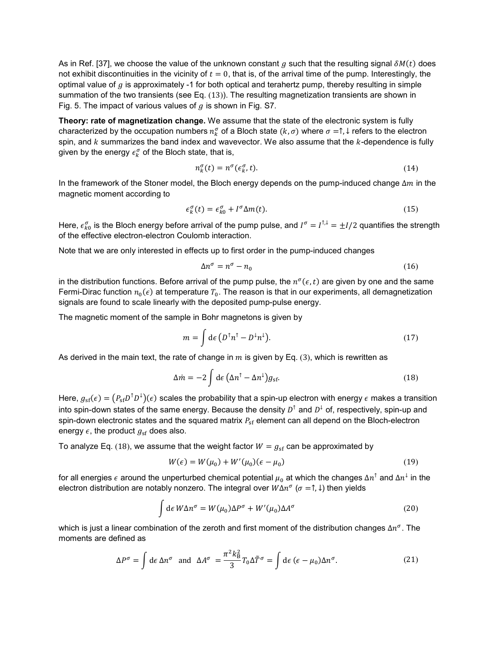As in Ref. [37], we choose the value of the unknown constant g such that the resulting signal  $\delta M(t)$  does not exhibit discontinuities in the vicinity of  $t = 0$ , that is, of the arrival time of the pump. Interestingly, the optimal value of  $g$  is approximately -1 for both optical and terahertz pump, thereby resulting in simple summation of the two transients (see Eq. ([13](#page-14-2))). The resulting magnetization transients are shown in Fig. 5. The impact of various values of  $q$  is shown in Fig. S7.

**Theory: rate of magnetization change.** We assume that the state of the electronic system is fully characterized by the occupation numbers  $n_k^\sigma$  of a Bloch state  $(k,\sigma)$  where  $\sigma = \uparrow, \downarrow$  refers to the electron spin, and  $k$  summarizes the band index and wavevector. We also assume that the  $k$ -dependence is fully given by the energy  $\epsilon_{k}^{\sigma}$  of the Bloch state, that is,

$$
n_k^{\sigma}(t) = n^{\sigma}(\epsilon_k^{\sigma}, t). \tag{14}
$$

In the framework of the Stoner model, the Bloch energy depends on the pump-induced change  $\Delta m$  in the magnetic moment according to

$$
\epsilon_k^{\sigma}(t) = \epsilon_{k0}^{\sigma} + l^{\sigma} \Delta m(t). \tag{15}
$$

Here,  $\epsilon_{k0}^{\sigma}$  is the Bloch energy before arrival of the pump pulse, and  $I^{\sigma}=I^{\dagger,\downarrow}=\pm I/2$  quantifies the strength of the effective electron-electron Coulomb interaction.

Note that we are only interested in effects up to first order in the pump-induced changes

<span id="page-15-4"></span><span id="page-15-3"></span>
$$
\Delta n^{\sigma} = n^{\sigma} - n_0 \tag{16}
$$

in the distribution functions. Before arrival of the pump pulse, the  $n^{\sigma}(\epsilon, t)$  are given by one and the same Fermi-Dirac function  $n_0(\epsilon)$  at temperature  $T_0$ . The reason is that in our experiments, all demagnetization signals are found to scale linearly with the deposited pump-pulse energy.

The magnetic moment of the sample in Bohr magnetons is given by

<span id="page-15-1"></span>
$$
m = \int d\epsilon \left( D^{\dagger} n^{\dagger} - D^{\dagger} n^{\dagger} \right). \tag{17}
$$

As derived in the main text, the rate of change in  $m$  is given by Eq. ([3](#page-7-0)), which is rewritten as

$$
\Delta \dot{m} = -2 \int d\epsilon \left( \Delta n^{\dagger} - \Delta n^{\dagger} \right) g_{\rm sf}.
$$
\n(18)

Here,  $g_{\rm sf}(\epsilon)=(P_{\rm sf}D^\top D^\perp)(\epsilon)$  scales the probability that a spin-up electron with energy  $\epsilon$  makes a transition into spin-down states of the same energy. Because the density  $D^{\dagger}$  and  $D^{\dagger}$  of, respectively, spin-up and spin-down electronic states and the squared matrix  $P_{\rm sf}$  element can all depend on the Bloch-electron energy  $\epsilon$ , the product  $g_{\rm sf}$  does also.

To analyze Eq. ([18](#page-15-1)), we assume that the weight factor  $W = g_{\rm sf}$  can be approximated by

<span id="page-15-5"></span><span id="page-15-2"></span>
$$
W(\epsilon) = W(\mu_0) + W'(\mu_0)(\epsilon - \mu_0)
$$
\n(19)

for all energies  $\epsilon$  around the unperturbed chemical potential  $\mu_0$  at which the changes  $\Delta n^{\uparrow}$  and  $\Delta n^{\downarrow}$  in the electron distribution are notably nonzero. The integral over  $W \Delta n^{\sigma}$  ( $\sigma = \uparrow, \downarrow$ ) then yields

<span id="page-15-0"></span>
$$
\int d\epsilon W \Delta n^{\sigma} = W(\mu_0) \Delta P^{\sigma} + W'(\mu_0) \Delta A^{\sigma}
$$
\n(20)

which is just a linear combination of the zeroth and first moment of the distribution changes  $\Delta n^{\sigma}$ . The moments are defined as

$$
\Delta P^{\sigma} = \int d\epsilon \, \Delta n^{\sigma} \text{ and } \Delta A^{\sigma} = \frac{\pi^2 k_B^2}{3} T_0 \Delta \tilde{T}^{\sigma} = \int d\epsilon \, (\epsilon - \mu_0) \Delta n^{\sigma}.
$$
 (21)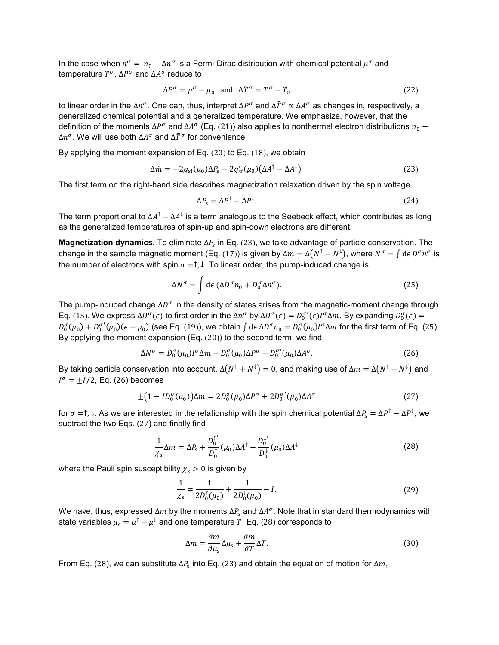In the case when  $n^{\sigma} = n_0 + \Delta n^{\sigma}$  is a Fermi-Dirac distribution with chemical potential  $\mu^{\sigma}$  and temperature  $T^{\sigma}$ ,  $\Delta P^{\sigma}$  and  $\Delta A^{\sigma}$  reduce to

$$
\Delta P^{\sigma} = \mu^{\sigma} - \mu_0 \quad \text{and} \quad \Delta \tilde{T}^{\sigma} = T^{\sigma} - T_0 \tag{22}
$$

to linear order in the  $\Delta n^{\sigma}$ . One can, thus, interpret  $\Delta P^{\sigma}$  and  $\Delta \tilde{T}^{\sigma} \propto \Delta A^{\sigma}$  as changes in, respectively, a generalized chemical potential and a generalized temperature. We emphasize, however, that the definition of the moments  $\Delta P^{\sigma}$  and  $\Delta A^{\sigma}$  (Eq. ([21](#page-15-0))) also applies to nonthermal electron distributions  $n_0 +$  $\Delta n^{\sigma}$ . We will use both  $\Delta A^{\sigma}$  and  $\Delta \tilde{T}^{\sigma}$  for convenience.

By applying the moment expansion of Eq. ([20](#page-15-2)) to Eq. ([18](#page-15-1)), we obtain

$$
\Delta \dot{m} = -2g_{\rm sf}(\mu_0)\Delta P_{\rm s} - 2g'_{\rm sf}(\mu_0)\left(\Delta A^{\dagger} - \Delta A^{\dagger}\right). \tag{23}
$$

The first term on the right-hand side describes magnetization relaxation driven by the spin voltage

<span id="page-16-1"></span><span id="page-16-0"></span>
$$
\Delta P_{\rm s} = \Delta P^{\dagger} - \Delta P^{\dagger}.
$$
\n(24)

The term proportional to  $\Delta A^{\dagger} - \Delta A^{\dagger}$  is a term analogous to the Seebeck effect, which contributes as long as the generalized temperatures of spin-up and spin-down electrons are different.

**Magnetization dynamics.** To eliminate  $\Delta P_s$  in Eq. ([23](#page-16-0)), we take advantage of particle conservation. The change in the sample magnetic moment (Eq. ([17](#page-15-3))) is given by  $\Delta m = \Delta (N^T - N^{\downarrow})$ , where  $N^{\sigma} = \int d\epsilon D^{\sigma} n^{\sigma}$  is the number of electrons with spin  $\sigma = \uparrow, \downarrow$ . To linear order, the pump-induced change is

<span id="page-16-2"></span>
$$
\Delta N^{\sigma} = \int d\epsilon \, (\Delta D^{\sigma} n_0 + D_0^{\sigma} \Delta n^{\sigma}). \tag{25}
$$

The pump-induced change  $\Delta D^{\sigma}$  in the density of states arises from the magnetic-moment change through Eq. ([15](#page-15-4)). We express  $\Delta D^{\sigma}(\epsilon)$  to first order in the  $\Delta n^{\sigma}$  by  $\Delta D^{\sigma}(\epsilon) = D_0^{\sigma'}(\epsilon)I^{\sigma}\Delta m$ . By expanding  $D_0^{\sigma}(\epsilon) =$  $D_0^{\sigma}(\mu_0) + D_0^{\sigma'}(\mu_0)(\epsilon - \mu_0)$  (see Eq. ([19](#page-15-5))), we obtain  $\int d\epsilon \Delta D^{\sigma} n_0 = D_0^{\sigma}(\mu_0)I^{\sigma}\Delta m$  for the first term of Eq. ([25](#page-16-1)). By applying the moment expansion (Eq. ([20](#page-15-2))) to the second term, we find

$$
\Delta N^{\sigma} = D_0^{\sigma}(\mu_0)I^{\sigma}\Delta m + D_0^{\sigma}(\mu_0)\Delta P^{\sigma} + D_0^{\sigma\prime}(\mu_0)\Delta A^{\sigma}.
$$
\n(26)

By taking particle conservation into account,  $\Delta(N^{\uparrow}+N^{\downarrow})=0$ , and making use of  $\Delta m=\Delta(N^{\uparrow}-N^{\downarrow})$  and  $I^{\sigma} = \pm I/2$ , Eq. ([26](#page-16-2)) becomes

$$
\pm (1 - ID_0^{\sigma}(\mu_0)) \Delta m = 2D_0^{\sigma}(\mu_0) \Delta P^{\sigma} + 2D_0^{\sigma'}(\mu_0) \Delta A^{\sigma}
$$
 (27)

for  $\sigma = \uparrow$ ,  $\downarrow$ . As we are interested in the relationship with the spin chemical potential  $\Delta P_s = \Delta P^{\uparrow} - \Delta P^{\downarrow}$ , we subtract the two Eqs. ([27](#page-16-3)) and finally find

$$
\frac{1}{\chi_{\rm s}}\Delta m = \Delta P_{\rm s} + \frac{D_0^{1'}}{D_0^{1}}(\mu_0)\Delta A^{\dagger} - \frac{D_0^{1'}}{D_0^{1}}(\mu_0)\Delta A^{\dagger}
$$
\n(28)

where the Pauli spin susceptibility  $x_s > 0$  is given by

<span id="page-16-4"></span><span id="page-16-3"></span>
$$
\frac{1}{\chi_{\rm s}} = \frac{1}{2D_0^{\dagger}(\mu_0)} + \frac{1}{2D_0^{\dagger}(\mu_0)} - I.
$$
\n(29)

We have, thus, expressed  $\Delta m$  by the moments  $\Delta P_s$  and  $\Delta A^\sigma$ . Note that in standard thermodynamics with state variables  $\mu_s = \mu^{\uparrow} - \mu^{\downarrow}$  and one temperature T, Eq. ([28](#page-16-4)) corresponds to

<span id="page-16-5"></span>
$$
\Delta m = \frac{\partial m}{\partial \mu_{\rm s}} \Delta \mu_{\rm s} + \frac{\partial m}{\partial T} \Delta T.
$$
\n(30)

From Eq. ([28](#page-16-4)), we can substitute  $\Delta P_s$  into Eq. ([23](#page-16-0)) and obtain the equation of motion for  $\Delta m$ ,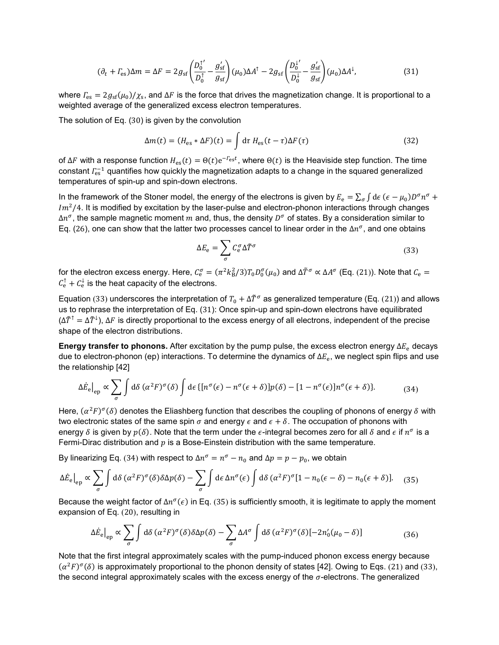$$
(\partial_t + \Gamma_{\rm es})\Delta m = \Delta F = 2g_{\rm sf} \left( \frac{D_0^{1'}}{D_0^{\dagger}} - \frac{g_{\rm sf}'}{g_{\rm sf}} \right) (\mu_0) \Delta A^{\dagger} - 2g_{\rm sf} \left( \frac{D_0^{1'}}{D_0^{\dagger}} - \frac{g_{\rm sf}'}{g_{\rm sf}} \right) (\mu_0) \Delta A^{\dagger}, \tag{31}
$$

where  $\Gamma_{\rm es} = 2g_{\rm sf}(\mu_0)/\chi_{\rm s}$ , and  $\Delta F$  is the force that drives the magnetization change. It is proportional to a weighted average of the generalized excess electron temperatures.

The solution of Eq. ([30](#page-16-5)) is given by the convolution

<span id="page-17-0"></span>
$$
\Delta m(t) = (H_{\text{es}} * \Delta F)(t) = \int d\tau \, H_{\text{es}}(t - \tau) \Delta F(\tau) \tag{32}
$$

of ΔF with a response function  $H_{es}(t) = \Theta(t)e^{-\Gamma_{es}t}$ , where  $\Theta(t)$  is the Heaviside step function. The time constant  $\varGamma_{\rm es}^{-1}$  quantifies how quickly the magnetization adapts to a change in the squared generalized temperatures of spin-up and spin-down electrons.

In the framework of the Stoner model, the energy of the electrons is given by  $E_e = \sum_{\sigma} \int d\varepsilon \, (\epsilon - \mu_0) D^{\sigma} n^{\sigma} +$  $Im<sup>2</sup>/4$ . It is modified by excitation by the laser-pulse and electron-phonon interactions through changes  $\Delta n^{\sigma}$ , the sample magnetic moment m and, thus, the density  $D^{\sigma}$  of states. By a consideration similar to Eq. ([26](#page-16-2)), one can show that the latter two processes cancel to linear order in the  $\Delta n^{\sigma}$ , and one obtains

<span id="page-17-4"></span><span id="page-17-3"></span><span id="page-17-2"></span><span id="page-17-1"></span>
$$
\Delta E_{\rm e} = \sum_{\sigma} C_{\rm e}^{\sigma} \Delta \tilde{T}^{\sigma} \tag{33}
$$

for the electron excess energy. Here,  $C_e^{\sigma} = (\pi^2 k_B^2/3) T_0 D_0^{\sigma}(\mu_0)$  and  $\Delta T^{\sigma} \propto \Delta A^{\sigma}$  (Eq. ([21](#page-15-0))). Note that  $C_e =$  $C_{\rm e}^{\dagger} + C_{\rm e}^{\dagger}$  is the heat capacity of the electrons.

Equation ([33](#page-17-1)) underscores the interpretation of  $T_0 + \Delta \tilde{T}^{\sigma}$  as generalized temperature (Eq. ([21](#page-15-0))) and allows us to rephrase the interpretation of Eq. ([31](#page-17-0)): Once spin-up and spin-down electrons have equilibrated  $(\Delta \tilde{T}^{\dagger} = \Delta \tilde{T}^{\dagger})$ ,  $\Delta F$  is directly proportional to the excess energy of all electrons, independent of the precise shape of the electron distributions.

**Energy transfer to phonons.** After excitation by the pump pulse, the excess electron energy  $\Delta E_e$  decays due to electron-phonon (ep) interactions. To determine the dynamics of  $\Delta E_e$ , we neglect spin flips and use the relationship [42]

$$
\Delta \dot{E}_{\epsilon}|_{ep} \propto \sum_{\sigma} \int d\delta \, (\alpha^2 F)^{\sigma} (\delta) \int d\epsilon \, \{ [n^{\sigma}(\epsilon) - n^{\sigma}(\epsilon + \delta)] p(\delta) - [1 - n^{\sigma}(\epsilon)] n^{\sigma}(\epsilon + \delta) \}.
$$
 (34)

Here,  $(\alpha^2 F)^\sigma(\delta)$  denotes the Eliashberg function that describes the coupling of phonons of energy  $\delta$  with two electronic states of the same spin  $\sigma$  and energy  $\epsilon$  and  $\epsilon + \delta$ . The occupation of phonons with energy  $\delta$  is given by  $p(\delta)$ . Note that the term under the  $\epsilon$ -integral becomes zero for all  $\delta$  and  $\epsilon$  if  $n^{\sigma}$  is a Fermi-Dirac distribution and  $p$  is a Bose-Einstein distribution with the same temperature.

By linearizing Eq. ([34](#page-17-3)) with respect to  $Δn^σ = n^σ - n_0$  and  $Δp = p - p_0$ , we obtain

$$
\Delta \dot{E}_{\rm e}|_{\rm ep} \propto \sum_{\sigma} \int d\delta \, (\alpha^2 F)^{\sigma} (\delta) \delta \Delta p(\delta) - \sum_{\sigma} \int d\epsilon \, \Delta n^{\sigma} (\epsilon) \int d\delta \, (\alpha^2 F)^{\sigma} [1 - n_0 (\epsilon - \delta) - n_0 (\epsilon + \delta)]. \tag{35}
$$

Because the weight factor of  $\Delta n^{\sigma}(\epsilon)$  in Eq. ([35](#page-17-4)) is sufficiently smooth, it is legitimate to apply the moment expansion of Eq. ([20](#page-15-2)), resulting in

<span id="page-17-5"></span>
$$
\Delta \dot{E}_{\rm e}|_{\rm ep} \propto \sum_{\sigma} \int d\delta \, (\alpha^2 F)^{\sigma} (\delta) \delta \Delta p(\delta) - \sum_{\sigma} \Delta A^{\sigma} \int d\delta \, (\alpha^2 F)^{\sigma} (\delta) [-2n_0'(\mu_0 - \delta)] \tag{36}
$$

Note that the first integral approximately scales with the pump-induced phonon excess energy because  $(\alpha^2 F)^{\sigma}(\delta)$  is approximately proportional to the phonon density of states [42]. Owing to Eqs. ([21](#page-15-0)) and ([33](#page-17-1)), the second integral approximately scales with the excess energy of the  $\sigma$ -electrons. The generalized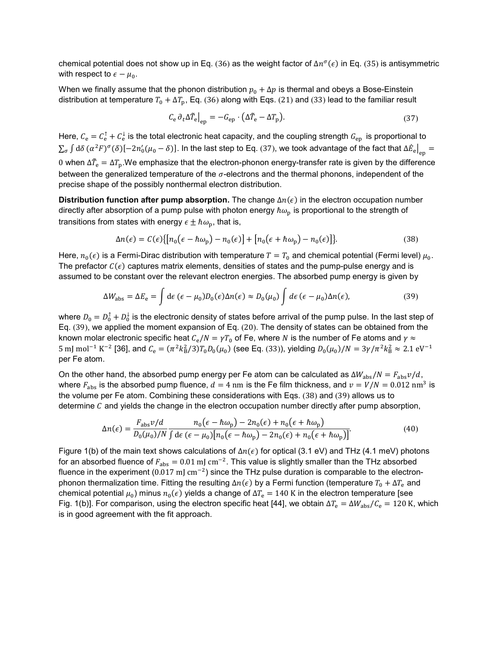chemical potential does not show up in Eq. ([36](#page-17-5)) as the weight factor of  $\Delta n^{\sigma}(\epsilon)$  in Eq. ([35](#page-17-4)) is antisymmetric with respect to  $\epsilon - \mu_0$ .

When we finally assume that the phonon distribution  $p_0 + \Delta p$  is thermal and obeys a Bose-Einstein distribution at temperature  $T_0 + \Delta T_p$ , Eq. ([36](#page-17-5)) along with Eqs. ([21](#page-15-0)) and ([33](#page-17-1)) lead to the familiar result

<span id="page-18-2"></span><span id="page-18-0"></span>
$$
C_{\rm e} \partial_t \Delta \tilde{T}_{\rm e}|_{\rm ep} = -G_{\rm ep} \cdot (\Delta \tilde{T}_{\rm e} - \Delta T_{\rm p}). \tag{37}
$$

Here,  $\mathcal{C}_{\rm e}=\mathcal{C}_{\rm e}^{\tau}+\mathcal{C}_{\rm e}^{\tau}$  is the total electronic heat capacity, and the coupling strength  $G_{\rm ep}$  is proportional to  $\sum_{\sigma}\int{\rm d}\delta\,(\alpha^2F)^\sigma(\delta)[-2n_0'(\mu_0-\delta)]$ . In the last step to Eq. ([37](#page-18-0)), we took advantage of the fact that  $\Delta\dot{E}_{\rm e}\big|_{\rm ep}=0$ 0 when Δ $\bar{T}_{\rm e}=\Delta T_{\rm p}$ .We emphasize that the electron-phonon energy-transfer rate is given by the difference between the generalized temperature of the  $\sigma$ -electrons and the thermal phonons, independent of the precise shape of the possibly nonthermal electron distribution.

**Distribution function after pump absorption.** The change  $\Delta n(\epsilon)$  in the electron occupation number directly after absorption of a pump pulse with photon energy  $\hbar\omega_{\rm p}$  is proportional to the strength of transitions from states with energy  $\epsilon \pm \hbar \omega_{\rm p}$ , that is,

<span id="page-18-1"></span>
$$
\Delta n(\epsilon) = C(\epsilon) \{ [n_0(\epsilon - \hbar \omega_p) - n_0(\epsilon)] + [n_0(\epsilon + \hbar \omega_p) - n_0(\epsilon)] \}.
$$
 (38)

Here,  $n_0(\epsilon)$  is a Fermi-Dirac distribution with temperature  $T = T_0$  and chemical potential (Fermi level)  $\mu_0$ . The prefactor  $C(\epsilon)$  captures matrix elements, densities of states and the pump-pulse energy and is assumed to be constant over the relevant electron energies. The absorbed pump energy is given by

$$
\Delta W_{\rm abs} = \Delta E_{\rm e} = \int d\epsilon \, (\epsilon - \mu_0) D_0(\epsilon) \Delta n(\epsilon) \approx D_0(\mu_0) \int d\epsilon \, (\epsilon - \mu_0) \Delta n(\epsilon), \tag{39}
$$

where  $D_0 = D_0^{\intercal} + D_0^{\intercal}$  is the electronic density of states before arrival of the pump pulse. In the last step of Eq. ([39](#page-18-1)), we applied the moment expansion of Eq. ([20](#page-15-2)). The density of states can be obtained from the known molar electronic specific heat  $C_e/N = \gamma T_0$  of Fe, where N is the number of Fe atoms and  $\gamma \approx$ 5 mJ mol<sup>−1</sup> K<sup>−2</sup> [36], and  $C_e = (\pi^2 k_B^2/3) T_0 D_0(\mu_0)$  (see Eq. ([33](#page-17-1))), yielding  $D_0(\mu_0)/N = 3\gamma/\pi^2 k_B^2 \approx 2.1 \text{ eV}^{-1}$ per Fe atom.

On the other hand, the absorbed pump energy per Fe atom can be calculated as  $\Delta W_{\rm abs}/N = F_{\rm abs}v/d$ , where  $F_{\text{abs}}$  is the absorbed pump fluence,  $d = 4$  nm is the Fe film thickness, and  $v = V/N = 0.012$  nm<sup>3</sup> is the volume per Fe atom. Combining these considerations with Eqs. ([38](#page-18-2)) and ([39](#page-18-1)) allows us to determine  $\mathcal C$  and yields the change in the electron occupation number directly after pump absorption,

$$
\Delta n(\epsilon) = \frac{F_{\rm abs}v/d}{D_0(\mu_0)/N} \frac{n_0(\epsilon - \hbar\omega_{\rm p}) - 2n_0(\epsilon) + n_0(\epsilon + \hbar\omega_{\rm p})}{\int d\epsilon (\epsilon - \mu_0)[n_0(\epsilon - \hbar\omega_{\rm p}) - 2n_0(\epsilon) + n_0(\epsilon + \hbar\omega_{\rm p})]}.
$$
(40)

Figure 1(b) of the main text shows calculations of  $\Delta n(\epsilon)$  for optical (3.1 eV) and THz (4.1 meV) photons for an absorbed fluence of  $F_{\text{abs}} = 0.01 \text{ mJ cm}^{-2}$ . This value is slightly smaller than the THz absorbed fluence in the experiment (0.017 mJ cm<sup>-2</sup>) since the THz pulse duration is comparable to the electronphonon thermalization time. Fitting the resulting  $\Delta n(\epsilon)$  by a Fermi function (temperature  $T_0 + \Delta T_e$  and chemical potential  $\mu_0$ ) minus  $n_0(\epsilon)$  yields a change of  $\Delta T_e = 140$  K in the electron temperature [see Fig. 1(b)]. For comparison, using the electron specific heat [44], we obtain  $\Delta T_e = \Delta W_{\rm abs}/C_e = 120$  K, which is in good agreement with the fit approach.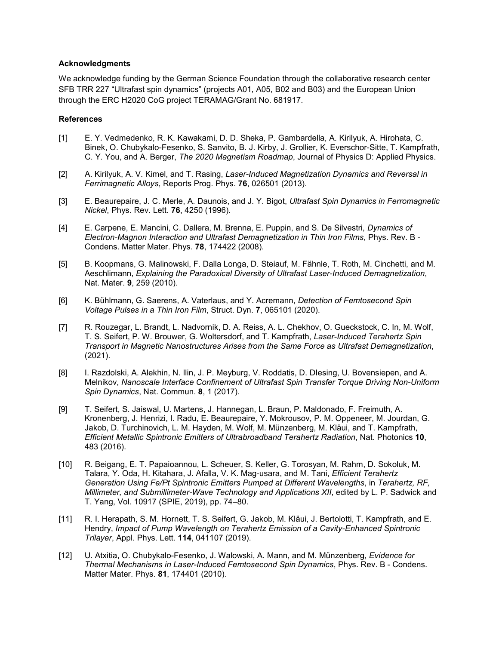#### **Acknowledgments**

We acknowledge funding by the German Science Foundation through the collaborative research center SFB TRR 227 "Ultrafast spin dynamics" (projects A01, A05, B02 and B03) and the European Union through the ERC H2020 CoG project TERAMAG/Grant No. 681917.

#### **References**

- [1] E. Y. Vedmedenko, R. K. Kawakami, D. D. Sheka, P. Gambardella, A. Kirilyuk, A. Hirohata, C. Binek, O. Chubykalo-Fesenko, S. Sanvito, B. J. Kirby, J. Grollier, K. Everschor-Sitte, T. Kampfrath, C. Y. You, and A. Berger, *The 2020 Magnetism Roadmap*, Journal of Physics D: Applied Physics.
- [2] A. Kirilyuk, A. V. Kimel, and T. Rasing, *Laser-Induced Magnetization Dynamics and Reversal in Ferrimagnetic Alloys*, Reports Prog. Phys. **76**, 026501 (2013).
- [3] E. Beaurepaire, J. C. Merle, A. Daunois, and J. Y. Bigot, *Ultrafast Spin Dynamics in Ferromagnetic Nickel*, Phys. Rev. Lett. **76**, 4250 (1996).
- [4] E. Carpene, E. Mancini, C. Dallera, M. Brenna, E. Puppin, and S. De Silvestri, *Dynamics of Electron-Magnon Interaction and Ultrafast Demagnetization in Thin Iron Films*, Phys. Rev. B - Condens. Matter Mater. Phys. **78**, 174422 (2008).
- [5] B. Koopmans, G. Malinowski, F. Dalla Longa, D. Steiauf, M. Fähnle, T. Roth, M. Cinchetti, and M. Aeschlimann, *Explaining the Paradoxical Diversity of Ultrafast Laser-Induced Demagnetization*, Nat. Mater. **9**, 259 (2010).
- [6] K. Bühlmann, G. Saerens, A. Vaterlaus, and Y. Acremann, *Detection of Femtosecond Spin Voltage Pulses in a Thin Iron Film*, Struct. Dyn. **7**, 065101 (2020).
- [7] R. Rouzegar, L. Brandt, L. Nadvornik, D. A. Reiss, A. L. Chekhov, O. Gueckstock, C. In, M. Wolf, T. S. Seifert, P. W. Brouwer, G. Woltersdorf, and T. Kampfrath, *Laser-Induced Terahertz Spin Transport in Magnetic Nanostructures Arises from the Same Force as Ultrafast Demagnetization*, (2021).
- [8] I. Razdolski, A. Alekhin, N. Ilin, J. P. Meyburg, V. Roddatis, D. DIesing, U. Bovensiepen, and A. Melnikov, *Nanoscale Interface Confinement of Ultrafast Spin Transfer Torque Driving Non-Uniform Spin Dynamics*, Nat. Commun. **8**, 1 (2017).
- [9] T. Seifert, S. Jaiswal, U. Martens, J. Hannegan, L. Braun, P. Maldonado, F. Freimuth, A. Kronenberg, J. Henrizi, I. Radu, E. Beaurepaire, Y. Mokrousov, P. M. Oppeneer, M. Jourdan, G. Jakob, D. Turchinovich, L. M. Hayden, M. Wolf, M. Münzenberg, M. Kläui, and T. Kampfrath, *Efficient Metallic Spintronic Emitters of Ultrabroadband Terahertz Radiation*, Nat. Photonics **10**, 483 (2016).
- [10] R. Beigang, E. T. Papaioannou, L. Scheuer, S. Keller, G. Torosyan, M. Rahm, D. Sokoluk, M. Talara, Y. Oda, H. Kitahara, J. Afalla, V. K. Mag-usara, and M. Tani, *Efficient Terahertz Generation Using Fe/Pt Spintronic Emitters Pumped at Different Wavelengths*, in *Terahertz, RF, Millimeter, and Submillimeter-Wave Technology and Applications XII*, edited by L. P. Sadwick and T. Yang, Vol. 10917 (SPIE, 2019), pp. 74–80.
- [11] R. I. Herapath, S. M. Hornett, T. S. Seifert, G. Jakob, M. Kläui, J. Bertolotti, T. Kampfrath, and E. Hendry, *Impact of Pump Wavelength on Terahertz Emission of a Cavity-Enhanced Spintronic Trilayer*, Appl. Phys. Lett. **114**, 041107 (2019).
- [12] U. Atxitia, O. Chubykalo-Fesenko, J. Walowski, A. Mann, and M. Münzenberg, *Evidence for Thermal Mechanisms in Laser-Induced Femtosecond Spin Dynamics*, Phys. Rev. B - Condens. Matter Mater. Phys. **81**, 174401 (2010).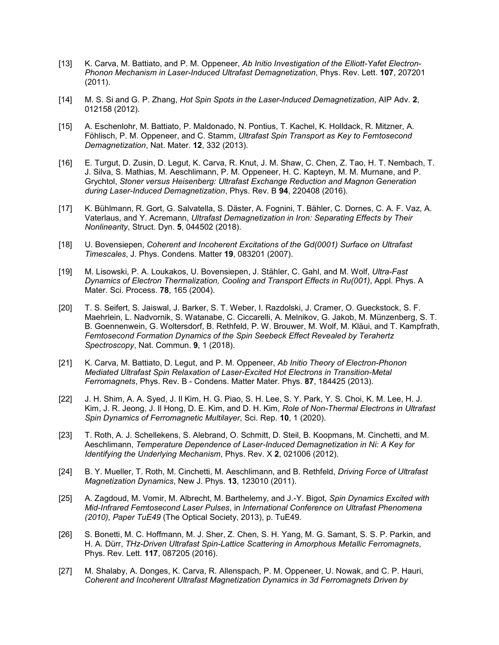- [13] K. Carva, M. Battiato, and P. M. Oppeneer, *Ab Initio Investigation of the Elliott-Yafet Electron-Phonon Mechanism in Laser-Induced Ultrafast Demagnetization*, Phys. Rev. Lett. **107**, 207201 (2011).
- [14] M. S. Si and G. P. Zhang, *Hot Spin Spots in the Laser-Induced Demagnetization*, AIP Adv. **2**, 012158 (2012).
- [15] A. Eschenlohr, M. Battiato, P. Maldonado, N. Pontius, T. Kachel, K. Holldack, R. Mitzner, A. Föhlisch, P. M. Oppeneer, and C. Stamm, *Ultrafast Spin Transport as Key to Femtosecond Demagnetization*, Nat. Mater. **12**, 332 (2013).
- [16] E. Turgut, D. Zusin, D. Legut, K. Carva, R. Knut, J. M. Shaw, C. Chen, Z. Tao, H. T. Nembach, T. J. Silva, S. Mathias, M. Aeschlimann, P. M. Oppeneer, H. C. Kapteyn, M. M. Murnane, and P. Grychtol, *Stoner versus Heisenberg: Ultrafast Exchange Reduction and Magnon Generation during Laser-Induced Demagnetization*, Phys. Rev. B **94**, 220408 (2016).
- [17] K. Bühlmann, R. Gort, G. Salvatella, S. Däster, A. Fognini, T. Bähler, C. Dornes, C. A. F. Vaz, A. Vaterlaus, and Y. Acremann, *Ultrafast Demagnetization in Iron: Separating Effects by Their Nonlinearity*, Struct. Dyn. **5**, 044502 (2018).
- [18] U. Bovensiepen, *Coherent and Incoherent Excitations of the Gd(0001) Surface on Ultrafast Timescales*, J. Phys. Condens. Matter **19**, 083201 (2007).
- [19] M. Lisowski, P. A. Loukakos, U. Bovensiepen, J. Stähler, C. Gahl, and M. Wolf, *Ultra-Fast Dynamics of Electron Thermalization, Cooling and Transport Effects in Ru(001)*, Appl. Phys. A Mater. Sci. Process. **78**, 165 (2004).
- [20] T. S. Seifert, S. Jaiswal, J. Barker, S. T. Weber, I. Razdolski, J. Cramer, O. Gueckstock, S. F. Maehrlein, L. Nadvornik, S. Watanabe, C. Ciccarelli, A. Melnikov, G. Jakob, M. Münzenberg, S. T. B. Goennenwein, G. Woltersdorf, B. Rethfeld, P. W. Brouwer, M. Wolf, M. Kläui, and T. Kampfrath, *Femtosecond Formation Dynamics of the Spin Seebeck Effect Revealed by Terahertz Spectroscopy*, Nat. Commun. **9**, 1 (2018).
- [21] K. Carva, M. Battiato, D. Legut, and P. M. Oppeneer, *Ab Initio Theory of Electron-Phonon Mediated Ultrafast Spin Relaxation of Laser-Excited Hot Electrons in Transition-Metal Ferromagnets*, Phys. Rev. B - Condens. Matter Mater. Phys. **87**, 184425 (2013).
- [22] J. H. Shim, A. A. Syed, J. Il Kim, H. G. Piao, S. H. Lee, S. Y. Park, Y. S. Choi, K. M. Lee, H. J. Kim, J. R. Jeong, J. Il Hong, D. E. Kim, and D. H. Kim, *Role of Non-Thermal Electrons in Ultrafast Spin Dynamics of Ferromagnetic Multilayer*, Sci. Rep. **10**, 1 (2020).
- [23] T. Roth, A. J. Schellekens, S. Alebrand, O. Schmitt, D. Steil, B. Koopmans, M. Cinchetti, and M. Aeschlimann, *Temperature Dependence of Laser-Induced Demagnetization in Ni: A Key for Identifying the Underlying Mechanism*, Phys. Rev. X **2**, 021006 (2012).
- [24] B. Y. Mueller, T. Roth, M. Cinchetti, M. Aeschlimann, and B. Rethfeld, *Driving Force of Ultrafast Magnetization Dynamics*, New J. Phys. **13**, 123010 (2011).
- [25] A. Zagdoud, M. Vomir, M. Albrecht, M. Barthelemy, and J.-Y. Bigot, *Spin Dynamics Excited with Mid-Infrared Femtosecond Laser Pulses*, in *International Conference on Ultrafast Phenomena (2010), Paper TuE49* (The Optical Society, 2013), p. TuE49.
- [26] S. Bonetti, M. C. Hoffmann, M. J. Sher, Z. Chen, S. H. Yang, M. G. Samant, S. S. P. Parkin, and H. A. Dürr, *THz-Driven Ultrafast Spin-Lattice Scattering in Amorphous Metallic Ferromagnets*, Phys. Rev. Lett. **117**, 087205 (2016).
- [27] M. Shalaby, A. Donges, K. Carva, R. Allenspach, P. M. Oppeneer, U. Nowak, and C. P. Hauri, *Coherent and Incoherent Ultrafast Magnetization Dynamics in 3d Ferromagnets Driven by*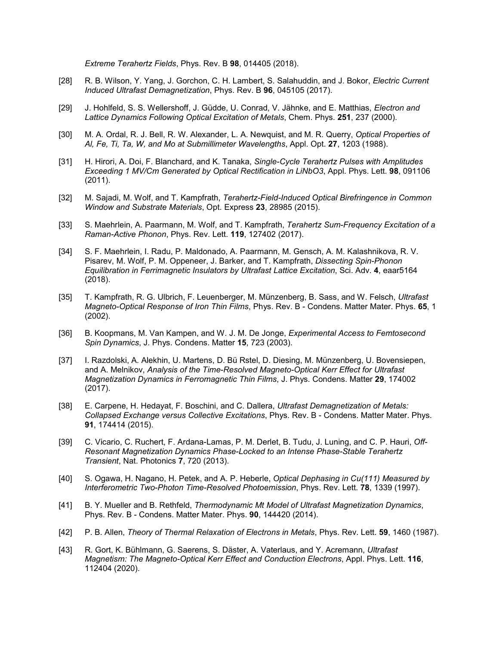*Extreme Terahertz Fields*, Phys. Rev. B **98**, 014405 (2018).

- [28] R. B. Wilson, Y. Yang, J. Gorchon, C. H. Lambert, S. Salahuddin, and J. Bokor, *Electric Current Induced Ultrafast Demagnetization*, Phys. Rev. B **96**, 045105 (2017).
- [29] J. Hohlfeld, S. S. Wellershoff, J. Güdde, U. Conrad, V. Jähnke, and E. Matthias, *Electron and Lattice Dynamics Following Optical Excitation of Metals*, Chem. Phys. **251**, 237 (2000).
- [30] M. A. Ordal, R. J. Bell, R. W. Alexander, L. A. Newquist, and M. R. Querry, *Optical Properties of Al, Fe, Ti, Ta, W, and Mo at Submillimeter Wavelengths*, Appl. Opt. **27**, 1203 (1988).
- [31] H. Hirori, A. Doi, F. Blanchard, and K. Tanaka, *Single-Cycle Terahertz Pulses with Amplitudes Exceeding 1 MV/Cm Generated by Optical Rectification in LiNbO3*, Appl. Phys. Lett. **98**, 091106 (2011).
- [32] M. Sajadi, M. Wolf, and T. Kampfrath, *Terahertz-Field-Induced Optical Birefringence in Common Window and Substrate Materials*, Opt. Express **23**, 28985 (2015).
- [33] S. Maehrlein, A. Paarmann, M. Wolf, and T. Kampfrath, *Terahertz Sum-Frequency Excitation of a Raman-Active Phonon*, Phys. Rev. Lett. **119**, 127402 (2017).
- [34] S. F. Maehrlein, I. Radu, P. Maldonado, A. Paarmann, M. Gensch, A. M. Kalashnikova, R. V. Pisarev, M. Wolf, P. M. Oppeneer, J. Barker, and T. Kampfrath, *Dissecting Spin-Phonon Equilibration in Ferrimagnetic Insulators by Ultrafast Lattice Excitation*, Sci. Adv. **4**, eaar5164 (2018).
- [35] T. Kampfrath, R. G. Ulbrich, F. Leuenberger, M. Münzenberg, B. Sass, and W. Felsch, *Ultrafast Magneto-Optical Response of Iron Thin Films*, Phys. Rev. B - Condens. Matter Mater. Phys. **65**, 1 (2002).
- [36] B. Koopmans, M. Van Kampen, and W. J. M. De Jonge, *Experimental Access to Femtosecond Spin Dynamics*, J. Phys. Condens. Matter **15**, 723 (2003).
- [37] I. Razdolski, A. Alekhin, U. Martens, D. Bü Rstel, D. Diesing, M. Münzenberg, U. Bovensiepen, and A. Melnikov, *Analysis of the Time-Resolved Magneto-Optical Kerr Effect for Ultrafast Magnetization Dynamics in Ferromagnetic Thin Films*, J. Phys. Condens. Matter **29**, 174002 (2017).
- [38] E. Carpene, H. Hedayat, F. Boschini, and C. Dallera, *Ultrafast Demagnetization of Metals: Collapsed Exchange versus Collective Excitations*, Phys. Rev. B - Condens. Matter Mater. Phys. **91**, 174414 (2015).
- [39] C. Vicario, C. Ruchert, F. Ardana-Lamas, P. M. Derlet, B. Tudu, J. Luning, and C. P. Hauri, *Off-Resonant Magnetization Dynamics Phase-Locked to an Intense Phase-Stable Terahertz Transient*, Nat. Photonics **7**, 720 (2013).
- [40] S. Ogawa, H. Nagano, H. Petek, and A. P. Heberle, *Optical Dephasing in Cu(111) Measured by Interferometric Two-Photon Time-Resolved Photoemission*, Phys. Rev. Lett. **78**, 1339 (1997).
- [41] B. Y. Mueller and B. Rethfeld, *Thermodynamic Μt Model of Ultrafast Magnetization Dynamics*, Phys. Rev. B - Condens. Matter Mater. Phys. **90**, 144420 (2014).
- [42] P. B. Allen, *Theory of Thermal Relaxation of Electrons in Metals*, Phys. Rev. Lett. **59**, 1460 (1987).
- [43] R. Gort, K. Bühlmann, G. Saerens, S. Däster, A. Vaterlaus, and Y. Acremann, *Ultrafast Magnetism: The Magneto-Optical Kerr Effect and Conduction Electrons*, Appl. Phys. Lett. **116**, 112404 (2020).